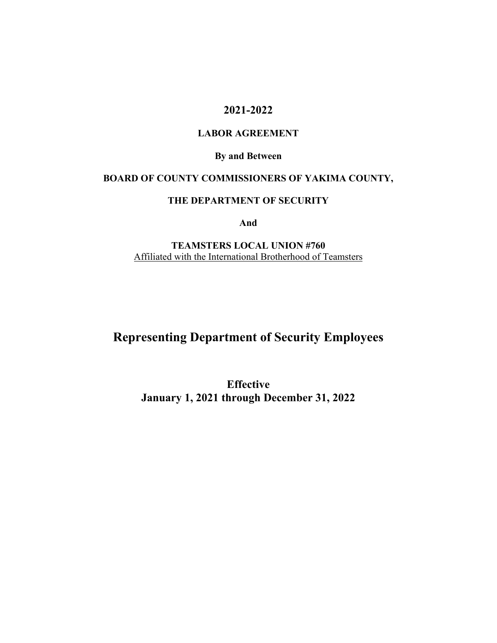# **2021-2022**

#### **LABOR AGREEMENT**

**By and Between** 

# **BOARD OF COUNTY COMMISSIONERS OF YAKIMA COUNTY,**

#### **THE DEPARTMENT OF SECURITY**

**And** 

**TEAMSTERS LOCAL UNION #760**  Affiliated with the International Brotherhood of Teamsters

# **Representing Department of Security Employees**

**Effective January 1, 2021 through December 31, 2022**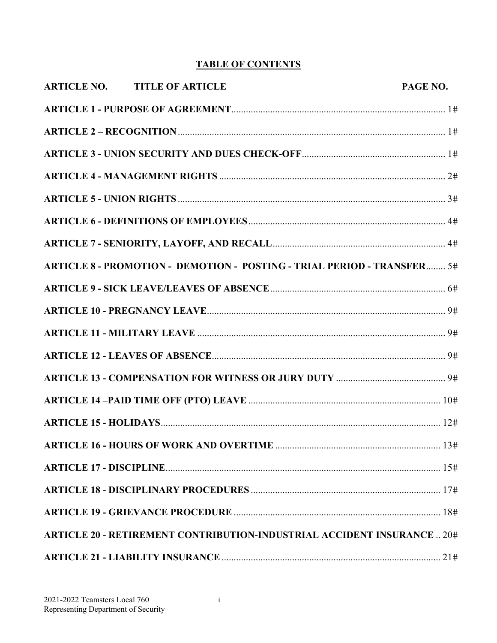# **TABLE OF CONTENTS**

| <b>ARTICLE NO. TITLE OF ARTICLE</b> | PAGE NO.                                                                       |
|-------------------------------------|--------------------------------------------------------------------------------|
|                                     |                                                                                |
|                                     |                                                                                |
|                                     |                                                                                |
|                                     |                                                                                |
|                                     |                                                                                |
|                                     |                                                                                |
|                                     |                                                                                |
|                                     | ARTICLE 8 - PROMOTION - DEMOTION - POSTING - TRIAL PERIOD - TRANSFER 5#        |
|                                     |                                                                                |
|                                     |                                                                                |
|                                     |                                                                                |
|                                     |                                                                                |
|                                     |                                                                                |
|                                     |                                                                                |
|                                     |                                                                                |
|                                     |                                                                                |
|                                     |                                                                                |
|                                     |                                                                                |
|                                     |                                                                                |
|                                     | <b>ARTICLE 20 - RETIREMENT CONTRIBUTION-INDUSTRIAL ACCIDENT INSURANCE  20#</b> |
|                                     |                                                                                |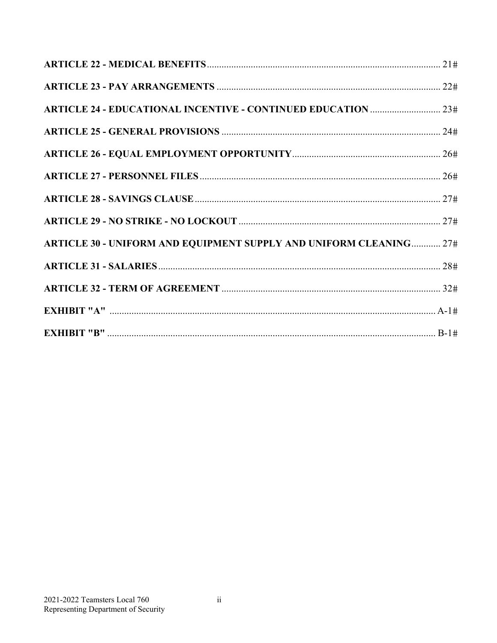| <b>ARTICLE 30 - UNIFORM AND EQUIPMENT SUPPLY AND UNIFORM CLEANING 27#</b> |  |
|---------------------------------------------------------------------------|--|
|                                                                           |  |
|                                                                           |  |
|                                                                           |  |
|                                                                           |  |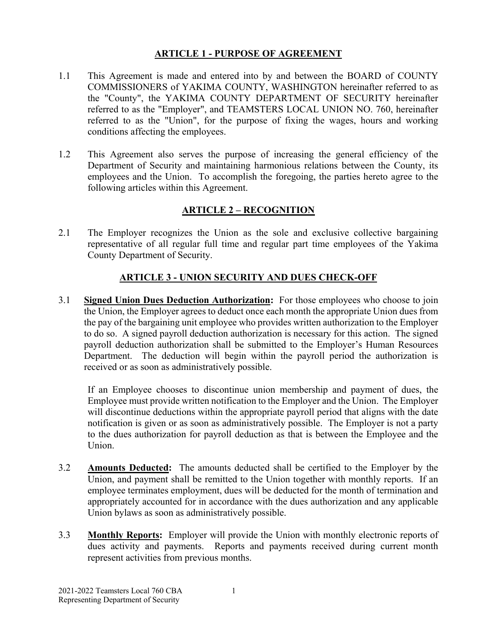#### **ARTICLE 1 - PURPOSE OF AGREEMENT**

- 1.1 This Agreement is made and entered into by and between the BOARD of COUNTY COMMISSIONERS of YAKIMA COUNTY, WASHINGTON hereinafter referred to as the "County", the YAKIMA COUNTY DEPARTMENT OF SECURITY hereinafter referred to as the "Employer", and TEAMSTERS LOCAL UNION NO. 760, hereinafter referred to as the "Union", for the purpose of fixing the wages, hours and working conditions affecting the employees.
- 1.2 This Agreement also serves the purpose of increasing the general efficiency of the Department of Security and maintaining harmonious relations between the County, its employees and the Union. To accomplish the foregoing, the parties hereto agree to the following articles within this Agreement.

# **ARTICLE 2 – RECOGNITION**

2.1 The Employer recognizes the Union as the sole and exclusive collective bargaining representative of all regular full time and regular part time employees of the Yakima County Department of Security.

# **ARTICLE 3 - UNION SECURITY AND DUES CHECK-OFF**

3.1 **Signed Union Dues Deduction Authorization:** For those employees who choose to join the Union, the Employer agrees to deduct once each month the appropriate Union dues from the pay of the bargaining unit employee who provides written authorization to the Employer to do so. A signed payroll deduction authorization is necessary for this action. The signed payroll deduction authorization shall be submitted to the Employer's Human Resources Department. The deduction will begin within the payroll period the authorization is received or as soon as administratively possible.

If an Employee chooses to discontinue union membership and payment of dues, the Employee must provide written notification to the Employer and the Union. The Employer will discontinue deductions within the appropriate payroll period that aligns with the date notification is given or as soon as administratively possible. The Employer is not a party to the dues authorization for payroll deduction as that is between the Employee and the Union.

- 3.2 **Amounts Deducted:** The amounts deducted shall be certified to the Employer by the Union, and payment shall be remitted to the Union together with monthly reports. If an employee terminates employment, dues will be deducted for the month of termination and appropriately accounted for in accordance with the dues authorization and any applicable Union bylaws as soon as administratively possible.
- 3.3 **Monthly Reports:** Employer will provide the Union with monthly electronic reports of dues activity and payments. Reports and payments received during current month represent activities from previous months.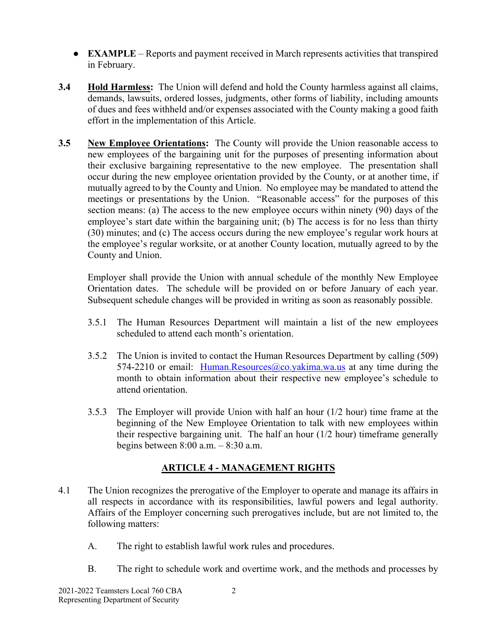- **EXAMPLE** Reports and payment received in March represents activities that transpired in February.
- **3.4 Hold Harmless:** The Union will defend and hold the County harmless against all claims, demands, lawsuits, ordered losses, judgments, other forms of liability, including amounts of dues and fees withheld and/or expenses associated with the County making a good faith effort in the implementation of this Article.
- **3.5 New Employee Orientations:** The County will provide the Union reasonable access to new employees of the bargaining unit for the purposes of presenting information about their exclusive bargaining representative to the new employee. The presentation shall occur during the new employee orientation provided by the County, or at another time, if mutually agreed to by the County and Union. No employee may be mandated to attend the meetings or presentations by the Union. "Reasonable access" for the purposes of this section means: (a) The access to the new employee occurs within ninety (90) days of the employee's start date within the bargaining unit; (b) The access is for no less than thirty (30) minutes; and (c) The access occurs during the new employee's regular work hours at the employee's regular worksite, or at another County location, mutually agreed to by the County and Union.

Employer shall provide the Union with annual schedule of the monthly New Employee Orientation dates. The schedule will be provided on or before January of each year. Subsequent schedule changes will be provided in writing as soon as reasonably possible.

- 3.5.1 The Human Resources Department will maintain a list of the new employees scheduled to attend each month's orientation.
- 3.5.2 The Union is invited to contact the Human Resources Department by calling (509) 574-2210 or email: Human.Resources@co.yakima.wa.us at any time during the month to obtain information about their respective new employee's schedule to attend orientation.
- 3.5.3 The Employer will provide Union with half an hour (1/2 hour) time frame at the beginning of the New Employee Orientation to talk with new employees within their respective bargaining unit. The half an hour (1/2 hour) timeframe generally begins between 8:00 a.m. – 8:30 a.m.

# **ARTICLE 4 - MANAGEMENT RIGHTS**

- 4.1 The Union recognizes the prerogative of the Employer to operate and manage its affairs in all respects in accordance with its responsibilities, lawful powers and legal authority. Affairs of the Employer concerning such prerogatives include, but are not limited to, the following matters:
	- A. The right to establish lawful work rules and procedures.
	- B. The right to schedule work and overtime work, and the methods and processes by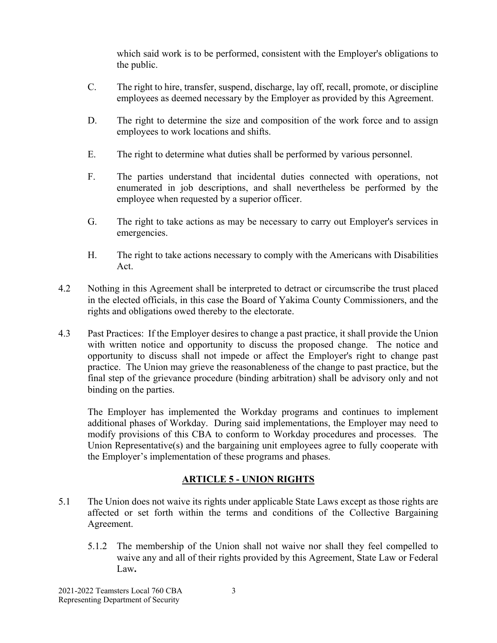which said work is to be performed, consistent with the Employer's obligations to the public.

- C. The right to hire, transfer, suspend, discharge, lay off, recall, promote, or discipline employees as deemed necessary by the Employer as provided by this Agreement.
- D. The right to determine the size and composition of the work force and to assign employees to work locations and shifts.
- E. The right to determine what duties shall be performed by various personnel.
- F. The parties understand that incidental duties connected with operations, not enumerated in job descriptions, and shall nevertheless be performed by the employee when requested by a superior officer.
- G. The right to take actions as may be necessary to carry out Employer's services in emergencies.
- H. The right to take actions necessary to comply with the Americans with Disabilities Act.
- 4.2 Nothing in this Agreement shall be interpreted to detract or circumscribe the trust placed in the elected officials, in this case the Board of Yakima County Commissioners, and the rights and obligations owed thereby to the electorate.
- 4.3 Past Practices: If the Employer desires to change a past practice, it shall provide the Union with written notice and opportunity to discuss the proposed change. The notice and opportunity to discuss shall not impede or affect the Employer's right to change past practice. The Union may grieve the reasonableness of the change to past practice, but the final step of the grievance procedure (binding arbitration) shall be advisory only and not binding on the parties.

The Employer has implemented the Workday programs and continues to implement additional phases of Workday. During said implementations, the Employer may need to modify provisions of this CBA to conform to Workday procedures and processes. The Union Representative(s) and the bargaining unit employees agree to fully cooperate with the Employer's implementation of these programs and phases.

# **ARTICLE 5 - UNION RIGHTS**

- 5.1 The Union does not waive its rights under applicable State Laws except as those rights are affected or set forth within the terms and conditions of the Collective Bargaining Agreement.
	- 5.1.2 The membership of the Union shall not waive nor shall they feel compelled to waive any and all of their rights provided by this Agreement, State Law or Federal Law**.**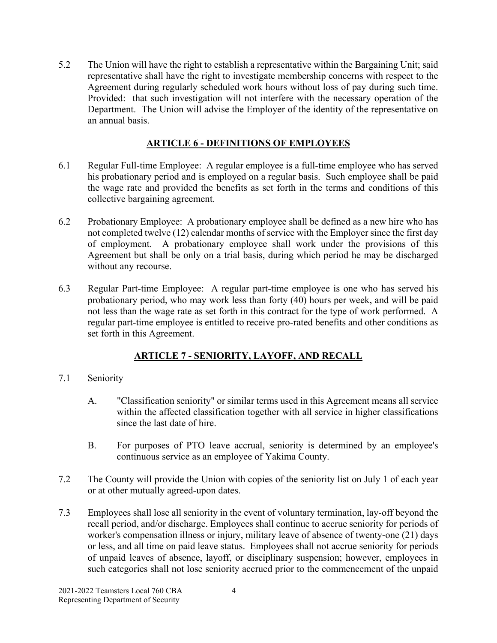5.2 The Union will have the right to establish a representative within the Bargaining Unit; said representative shall have the right to investigate membership concerns with respect to the Agreement during regularly scheduled work hours without loss of pay during such time. Provided: that such investigation will not interfere with the necessary operation of the Department. The Union will advise the Employer of the identity of the representative on an annual basis.

## **ARTICLE 6 - DEFINITIONS OF EMPLOYEES**

- 6.1 Regular Full-time Employee: A regular employee is a full-time employee who has served his probationary period and is employed on a regular basis. Such employee shall be paid the wage rate and provided the benefits as set forth in the terms and conditions of this collective bargaining agreement.
- 6.2 Probationary Employee: A probationary employee shall be defined as a new hire who has not completed twelve (12) calendar months of service with the Employer since the first day of employment. A probationary employee shall work under the provisions of this Agreement but shall be only on a trial basis, during which period he may be discharged without any recourse.
- 6.3 Regular Part-time Employee: A regular part-time employee is one who has served his probationary period, who may work less than forty (40) hours per week, and will be paid not less than the wage rate as set forth in this contract for the type of work performed. A regular part-time employee is entitled to receive pro-rated benefits and other conditions as set forth in this Agreement.

# **ARTICLE 7 - SENIORITY, LAYOFF, AND RECALL**

- 7.1 Seniority
	- A. "Classification seniority" or similar terms used in this Agreement means all service within the affected classification together with all service in higher classifications since the last date of hire.
	- B. For purposes of PTO leave accrual, seniority is determined by an employee's continuous service as an employee of Yakima County.
- 7.2 The County will provide the Union with copies of the seniority list on July 1 of each year or at other mutually agreed-upon dates.
- 7.3 Employees shall lose all seniority in the event of voluntary termination, lay-off beyond the recall period, and/or discharge. Employees shall continue to accrue seniority for periods of worker's compensation illness or injury, military leave of absence of twenty-one (21) days or less, and all time on paid leave status. Employees shall not accrue seniority for periods of unpaid leaves of absence, layoff, or disciplinary suspension; however, employees in such categories shall not lose seniority accrued prior to the commencement of the unpaid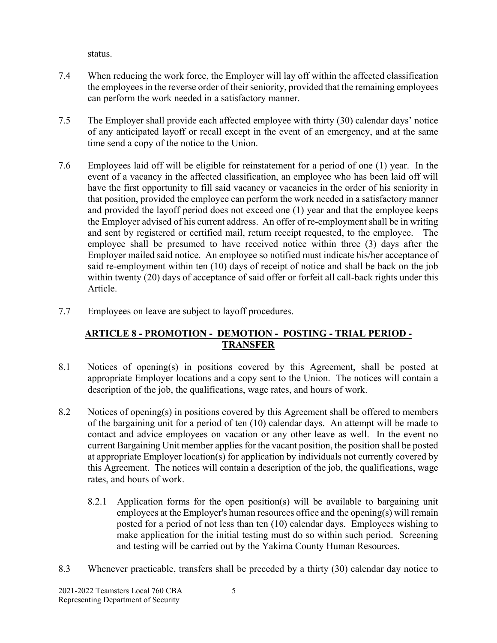status.

- 7.4 When reducing the work force, the Employer will lay off within the affected classification the employees in the reverse order of their seniority, provided that the remaining employees can perform the work needed in a satisfactory manner.
- 7.5 The Employer shall provide each affected employee with thirty (30) calendar days' notice of any anticipated layoff or recall except in the event of an emergency, and at the same time send a copy of the notice to the Union.
- 7.6 Employees laid off will be eligible for reinstatement for a period of one (1) year. In the event of a vacancy in the affected classification, an employee who has been laid off will have the first opportunity to fill said vacancy or vacancies in the order of his seniority in that position, provided the employee can perform the work needed in a satisfactory manner and provided the layoff period does not exceed one (1) year and that the employee keeps the Employer advised of his current address. An offer of re-employment shall be in writing and sent by registered or certified mail, return receipt requested, to the employee. The employee shall be presumed to have received notice within three (3) days after the Employer mailed said notice. An employee so notified must indicate his/her acceptance of said re-employment within ten (10) days of receipt of notice and shall be back on the job within twenty (20) days of acceptance of said offer or forfeit all call-back rights under this Article.
- 7.7 Employees on leave are subject to layoff procedures.

# **ARTICLE 8 - PROMOTION - DEMOTION - POSTING - TRIAL PERIOD - TRANSFER**

- 8.1 Notices of opening(s) in positions covered by this Agreement, shall be posted at appropriate Employer locations and a copy sent to the Union. The notices will contain a description of the job, the qualifications, wage rates, and hours of work.
- 8.2 Notices of opening(s) in positions covered by this Agreement shall be offered to members of the bargaining unit for a period of ten (10) calendar days. An attempt will be made to contact and advice employees on vacation or any other leave as well. In the event no current Bargaining Unit member applies for the vacant position, the position shall be posted at appropriate Employer location(s) for application by individuals not currently covered by this Agreement. The notices will contain a description of the job, the qualifications, wage rates, and hours of work.
	- 8.2.1 Application forms for the open position(s) will be available to bargaining unit employees at the Employer's human resources office and the opening(s) will remain posted for a period of not less than ten (10) calendar days. Employees wishing to make application for the initial testing must do so within such period. Screening and testing will be carried out by the Yakima County Human Resources.
- 8.3 Whenever practicable, transfers shall be preceded by a thirty (30) calendar day notice to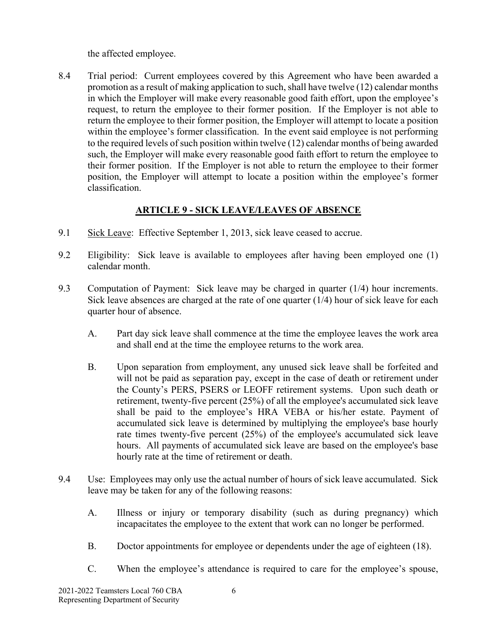the affected employee.

8.4 Trial period: Current employees covered by this Agreement who have been awarded a promotion as a result of making application to such, shall have twelve (12) calendar months in which the Employer will make every reasonable good faith effort, upon the employee's request, to return the employee to their former position. If the Employer is not able to return the employee to their former position, the Employer will attempt to locate a position within the employee's former classification. In the event said employee is not performing to the required levels of such position within twelve (12) calendar months of being awarded such, the Employer will make every reasonable good faith effort to return the employee to their former position. If the Employer is not able to return the employee to their former position, the Employer will attempt to locate a position within the employee's former classification.

# **ARTICLE 9 - SICK LEAVE/LEAVES OF ABSENCE**

- 9.1 Sick Leave: Effective September 1, 2013, sick leave ceased to accrue.
- 9.2 Eligibility: Sick leave is available to employees after having been employed one (1) calendar month.
- 9.3 Computation of Payment: Sick leave may be charged in quarter (1/4) hour increments. Sick leave absences are charged at the rate of one quarter (1/4) hour of sick leave for each quarter hour of absence.
	- A. Part day sick leave shall commence at the time the employee leaves the work area and shall end at the time the employee returns to the work area.
	- B. Upon separation from employment, any unused sick leave shall be forfeited and will not be paid as separation pay, except in the case of death or retirement under the County's PERS, PSERS or LEOFF retirement systems. Upon such death or retirement, twenty-five percent (25%) of all the employee's accumulated sick leave shall be paid to the employee's HRA VEBA or his/her estate. Payment of accumulated sick leave is determined by multiplying the employee's base hourly rate times twenty-five percent (25%) of the employee's accumulated sick leave hours. All payments of accumulated sick leave are based on the employee's base hourly rate at the time of retirement or death.
- 9.4 Use: Employees may only use the actual number of hours of sick leave accumulated. Sick leave may be taken for any of the following reasons:
	- A. Illness or injury or temporary disability (such as during pregnancy) which incapacitates the employee to the extent that work can no longer be performed.
	- B. Doctor appointments for employee or dependents under the age of eighteen (18).
	- C. When the employee's attendance is required to care for the employee's spouse,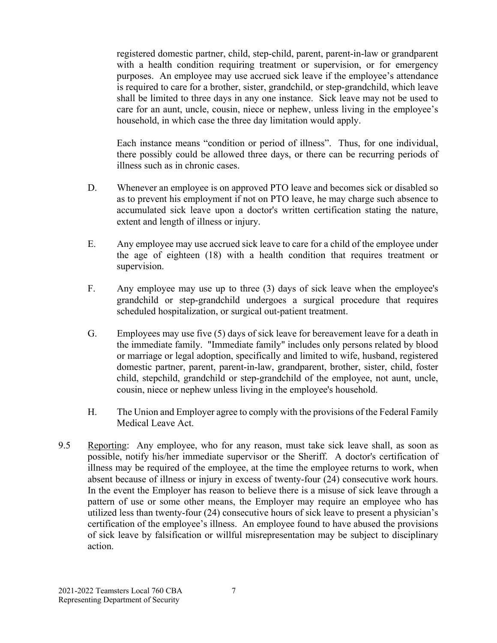registered domestic partner, child, step-child, parent, parent-in-law or grandparent with a health condition requiring treatment or supervision, or for emergency purposes. An employee may use accrued sick leave if the employee's attendance is required to care for a brother, sister, grandchild, or step-grandchild, which leave shall be limited to three days in any one instance. Sick leave may not be used to care for an aunt, uncle, cousin, niece or nephew, unless living in the employee's household, in which case the three day limitation would apply.

Each instance means "condition or period of illness". Thus, for one individual, there possibly could be allowed three days, or there can be recurring periods of illness such as in chronic cases.

- D. Whenever an employee is on approved PTO leave and becomes sick or disabled so as to prevent his employment if not on PTO leave, he may charge such absence to accumulated sick leave upon a doctor's written certification stating the nature, extent and length of illness or injury.
- E. Any employee may use accrued sick leave to care for a child of the employee under the age of eighteen (18) with a health condition that requires treatment or supervision.
- F. Any employee may use up to three (3) days of sick leave when the employee's grandchild or step-grandchild undergoes a surgical procedure that requires scheduled hospitalization, or surgical out-patient treatment.
- G. Employees may use five (5) days of sick leave for bereavement leave for a death in the immediate family. "Immediate family" includes only persons related by blood or marriage or legal adoption, specifically and limited to wife, husband, registered domestic partner, parent, parent-in-law, grandparent, brother, sister, child, foster child, stepchild, grandchild or step-grandchild of the employee, not aunt, uncle, cousin, niece or nephew unless living in the employee's household.
- H. The Union and Employer agree to comply with the provisions of the Federal Family Medical Leave Act.
- 9.5 Reporting: Any employee, who for any reason, must take sick leave shall, as soon as possible, notify his/her immediate supervisor or the Sheriff. A doctor's certification of illness may be required of the employee, at the time the employee returns to work, when absent because of illness or injury in excess of twenty-four (24) consecutive work hours. In the event the Employer has reason to believe there is a misuse of sick leave through a pattern of use or some other means, the Employer may require an employee who has utilized less than twenty-four (24) consecutive hours of sick leave to present a physician's certification of the employee's illness. An employee found to have abused the provisions of sick leave by falsification or willful misrepresentation may be subject to disciplinary action.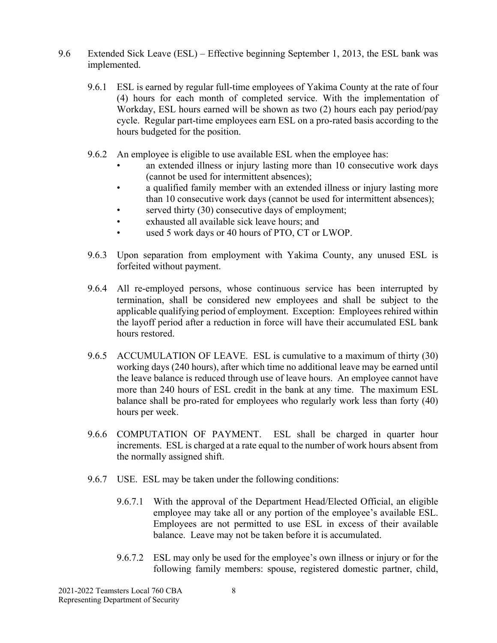- 9.6 Extended Sick Leave (ESL) Effective beginning September 1, 2013, the ESL bank was implemented.
	- 9.6.1 ESL is earned by regular full-time employees of Yakima County at the rate of four (4) hours for each month of completed service. With the implementation of Workday, ESL hours earned will be shown as two (2) hours each pay period/pay cycle. Regular part-time employees earn ESL on a pro-rated basis according to the hours budgeted for the position.
	- 9.6.2 An employee is eligible to use available ESL when the employee has:
		- an extended illness or injury lasting more than 10 consecutive work days (cannot be used for intermittent absences);
		- a qualified family member with an extended illness or injury lasting more than 10 consecutive work days (cannot be used for intermittent absences);
		- served thirty (30) consecutive days of employment;
		- exhausted all available sick leave hours; and
		- used 5 work days or 40 hours of PTO, CT or LWOP.
	- 9.6.3 Upon separation from employment with Yakima County, any unused ESL is forfeited without payment.
	- 9.6.4 All re-employed persons, whose continuous service has been interrupted by termination, shall be considered new employees and shall be subject to the applicable qualifying period of employment. Exception: Employees rehired within the layoff period after a reduction in force will have their accumulated ESL bank hours restored.
	- 9.6.5 ACCUMULATION OF LEAVE. ESL is cumulative to a maximum of thirty (30) working days (240 hours), after which time no additional leave may be earned until the leave balance is reduced through use of leave hours. An employee cannot have more than 240 hours of ESL credit in the bank at any time. The maximum ESL balance shall be pro-rated for employees who regularly work less than forty (40) hours per week.
	- 9.6.6 COMPUTATION OF PAYMENT. ESL shall be charged in quarter hour increments. ESL is charged at a rate equal to the number of work hours absent from the normally assigned shift.
	- 9.6.7 USE. ESL may be taken under the following conditions:
		- 9.6.7.1 With the approval of the Department Head/Elected Official, an eligible employee may take all or any portion of the employee's available ESL. Employees are not permitted to use ESL in excess of their available balance. Leave may not be taken before it is accumulated.
		- 9.6.7.2 ESL may only be used for the employee's own illness or injury or for the following family members: spouse, registered domestic partner, child,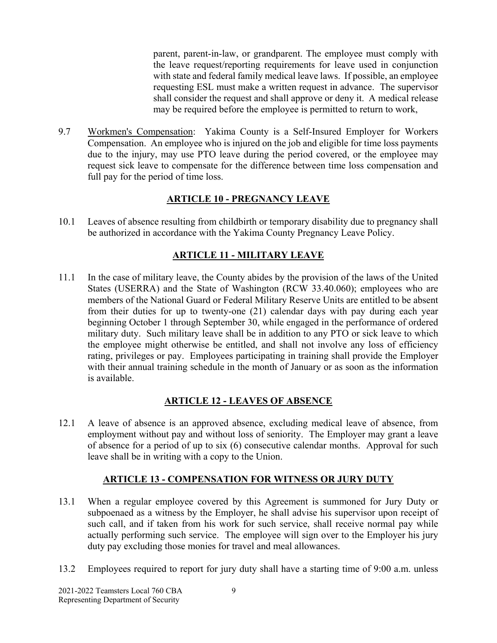parent, parent-in-law, or grandparent. The employee must comply with the leave request/reporting requirements for leave used in conjunction with state and federal family medical leave laws. If possible, an employee requesting ESL must make a written request in advance. The supervisor shall consider the request and shall approve or deny it. A medical release may be required before the employee is permitted to return to work,

9.7 Workmen's Compensation: Yakima County is a Self-Insured Employer for Workers Compensation. An employee who is injured on the job and eligible for time loss payments due to the injury, may use PTO leave during the period covered, or the employee may request sick leave to compensate for the difference between time loss compensation and full pay for the period of time loss.

# **ARTICLE 10 - PREGNANCY LEAVE**

10.1 Leaves of absence resulting from childbirth or temporary disability due to pregnancy shall be authorized in accordance with the Yakima County Pregnancy Leave Policy.

#### **ARTICLE 11 - MILITARY LEAVE**

11.1 In the case of military leave, the County abides by the provision of the laws of the United States (USERRA) and the State of Washington (RCW 33.40.060); employees who are members of the National Guard or Federal Military Reserve Units are entitled to be absent from their duties for up to twenty-one (21) calendar days with pay during each year beginning October 1 through September 30, while engaged in the performance of ordered military duty. Such military leave shall be in addition to any PTO or sick leave to which the employee might otherwise be entitled, and shall not involve any loss of efficiency rating, privileges or pay. Employees participating in training shall provide the Employer with their annual training schedule in the month of January or as soon as the information is available.

#### **ARTICLE 12 - LEAVES OF ABSENCE**

12.1 A leave of absence is an approved absence, excluding medical leave of absence, from employment without pay and without loss of seniority. The Employer may grant a leave of absence for a period of up to six (6) consecutive calendar months. Approval for such leave shall be in writing with a copy to the Union.

#### **ARTICLE 13 - COMPENSATION FOR WITNESS OR JURY DUTY**

- 13.1 When a regular employee covered by this Agreement is summoned for Jury Duty or subpoenaed as a witness by the Employer, he shall advise his supervisor upon receipt of such call, and if taken from his work for such service, shall receive normal pay while actually performing such service. The employee will sign over to the Employer his jury duty pay excluding those monies for travel and meal allowances.
- 13.2 Employees required to report for jury duty shall have a starting time of 9:00 a.m. unless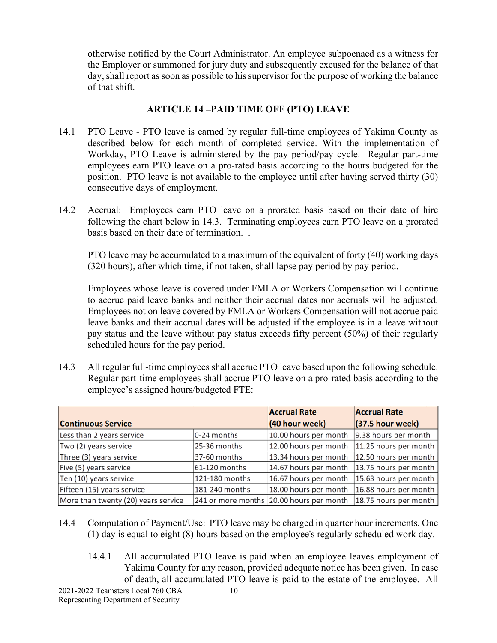otherwise notified by the Court Administrator. An employee subpoenaed as a witness for the Employer or summoned for jury duty and subsequently excused for the balance of that day, shall report as soon as possible to his supervisor for the purpose of working the balance of that shift.

# **ARTICLE 14 –PAID TIME OFF (PTO) LEAVE**

- 14.1 PTO Leave PTO leave is earned by regular full-time employees of Yakima County as described below for each month of completed service. With the implementation of Workday, PTO Leave is administered by the pay period/pay cycle. Regular part-time employees earn PTO leave on a pro-rated basis according to the hours budgeted for the position. PTO leave is not available to the employee until after having served thirty (30) consecutive days of employment.
- 14.2 Accrual: Employees earn PTO leave on a prorated basis based on their date of hire following the chart below in 14.3. Terminating employees earn PTO leave on a prorated basis based on their date of termination. .

PTO leave may be accumulated to a maximum of the equivalent of forty (40) working days (320 hours), after which time, if not taken, shall lapse pay period by pay period.

Employees whose leave is covered under FMLA or Workers Compensation will continue to accrue paid leave banks and neither their accrual dates nor accruals will be adjusted. Employees not on leave covered by FMLA or Workers Compensation will not accrue paid leave banks and their accrual dates will be adjusted if the employee is in a leave without pay status and the leave without pay status exceeds fifty percent (50%) of their regularly scheduled hours for the pay period.

14.3 All regular full-time employees shall accrue PTO leave based upon the following schedule. Regular part-time employees shall accrue PTO leave on a pro-rated basis according to the employee's assigned hours/budgeted FTE:

|                                     |                | <b>Accrual Rate</b>                      | <b>Accrual Rate</b>   |
|-------------------------------------|----------------|------------------------------------------|-----------------------|
| <b>Continuous Service</b>           |                | (40 hour week)                           | (37.5 hour week)      |
| Less than 2 years service           | 0-24 months    | 10.00 hours per month                    | 9.38 hours per month  |
| Two (2) years service               | 25-36 months   | 12.00 hours per month                    | 11.25 hours per month |
| Three (3) years service             | 37-60 months   | 13.34 hours per month                    | 12.50 hours per month |
| Five (5) years service              | 61-120 months  | 14.67 hours per month                    | 13.75 hours per month |
| Ten (10) years service              | 121-180 months | 16.67 hours per month                    | 15.63 hours per month |
| Fifteen (15) years service          | 181-240 months | 18.00 hours per month                    | 16.88 hours per month |
| More than twenty (20) years service |                | 241 or more months 20.00 hours per month | 18.75 hours per month |

- 14.4 Computation of Payment/Use: PTO leave may be charged in quarter hour increments. One (1) day is equal to eight (8) hours based on the employee's regularly scheduled work day.
	- 14.4.1 All accumulated PTO leave is paid when an employee leaves employment of Yakima County for any reason, provided adequate notice has been given. In case of death, all accumulated PTO leave is paid to the estate of the employee. All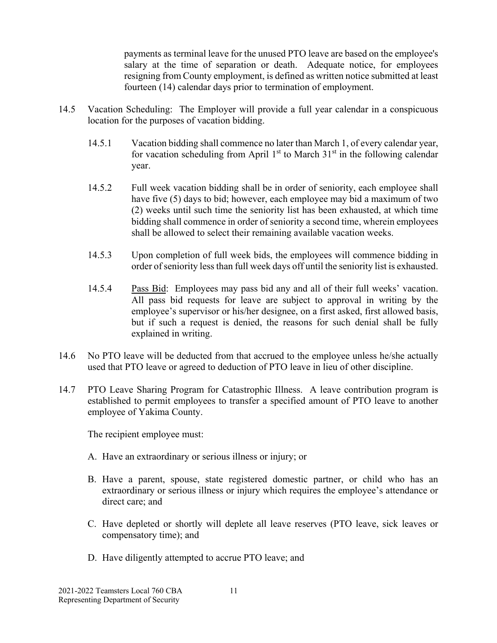payments as terminal leave for the unused PTO leave are based on the employee's salary at the time of separation or death. Adequate notice, for employees resigning from County employment, is defined as written notice submitted at least fourteen (14) calendar days prior to termination of employment.

- 14.5 Vacation Scheduling: The Employer will provide a full year calendar in a conspicuous location for the purposes of vacation bidding.
	- 14.5.1 Vacation bidding shall commence no later than March 1, of every calendar year, for vacation scheduling from April  $1<sup>st</sup>$  to March  $31<sup>st</sup>$  in the following calendar year.
	- 14.5.2 Full week vacation bidding shall be in order of seniority, each employee shall have five (5) days to bid; however, each employee may bid a maximum of two (2) weeks until such time the seniority list has been exhausted, at which time bidding shall commence in order of seniority a second time, wherein employees shall be allowed to select their remaining available vacation weeks.
	- 14.5.3 Upon completion of full week bids, the employees will commence bidding in order of seniority less than full week days off until the seniority list is exhausted.
	- 14.5.4 Pass Bid: Employees may pass bid any and all of their full weeks' vacation. All pass bid requests for leave are subject to approval in writing by the employee's supervisor or his/her designee, on a first asked, first allowed basis, but if such a request is denied, the reasons for such denial shall be fully explained in writing.
- 14.6 No PTO leave will be deducted from that accrued to the employee unless he/she actually used that PTO leave or agreed to deduction of PTO leave in lieu of other discipline.
- 14.7 PTO Leave Sharing Program for Catastrophic Illness. A leave contribution program is established to permit employees to transfer a specified amount of PTO leave to another employee of Yakima County.

The recipient employee must:

- A. Have an extraordinary or serious illness or injury; or
- B. Have a parent, spouse, state registered domestic partner, or child who has an extraordinary or serious illness or injury which requires the employee's attendance or direct care; and
- C. Have depleted or shortly will deplete all leave reserves (PTO leave, sick leaves or compensatory time); and
- D. Have diligently attempted to accrue PTO leave; and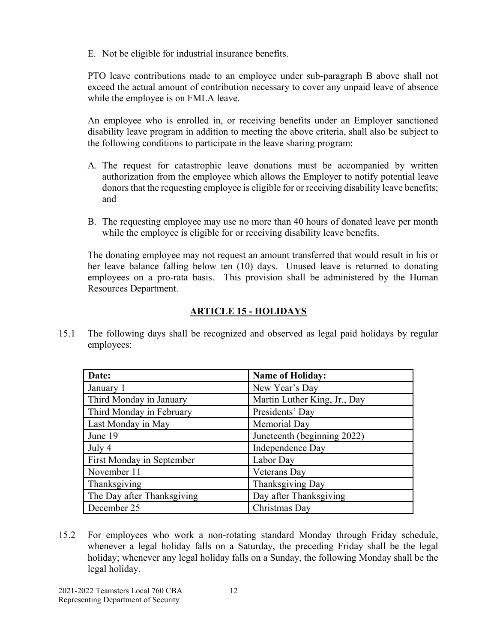E. Not be eligible for industrial insurance benefits.

PTO leave contributions made to an employee under sub-paragraph B above shall not exceed the actual amount of contribution necessary to cover any unpaid leave of absence while the employee is on FMLA leave.

An employee who is enrolled in, or receiving benefits under an Employer sanctioned disability leave program in addition to meeting the above criteria, shall also be subject to the following conditions to participate in the leave sharing program:

- A. The request for catastrophic leave donations must be accompanied by written authorization from the employee which allows the Employer to notify potential leave donors that the requesting employee is eligible for or receiving disability leave benefits; and
- B. The requesting employee may use no more than 40 hours of donated leave per month while the employee is eligible for or receiving disability leave benefits.

The donating employee may not request an amount transferred that would result in his or her leave balance falling below ten (10) days. Unused leave is returned to donating employees on a pro-rata basis. This provision shall be administered by the Human Resources Department.

# **ARTICLE 15 - HOLIDAYS**

15.1 The following days shall be recognized and observed as legal paid holidays by regular employees:

| Date:                      | <b>Name of Holiday:</b>      |
|----------------------------|------------------------------|
| January 1                  | New Year's Day               |
| Third Monday in January    | Martin Luther King, Jr., Day |
| Third Monday in February   | Presidents' Day              |
| Last Monday in May         | Memorial Day                 |
| June 19                    | Juneteenth (beginning 2022)  |
| July 4                     | Independence Day             |
| First Monday in September  | Labor Day                    |
| November 11                | Veterans Day                 |
| Thanksgiving               | Thanksgiving Day             |
| The Day after Thanksgiving | Day after Thanksgiving       |
| December 25                | Christmas Day                |

15.2 For employees who work a non-rotating standard Monday through Friday schedule, whenever a legal holiday falls on a Saturday, the preceding Friday shall be the legal holiday; whenever any legal holiday falls on a Sunday, the following Monday shall be the legal holiday.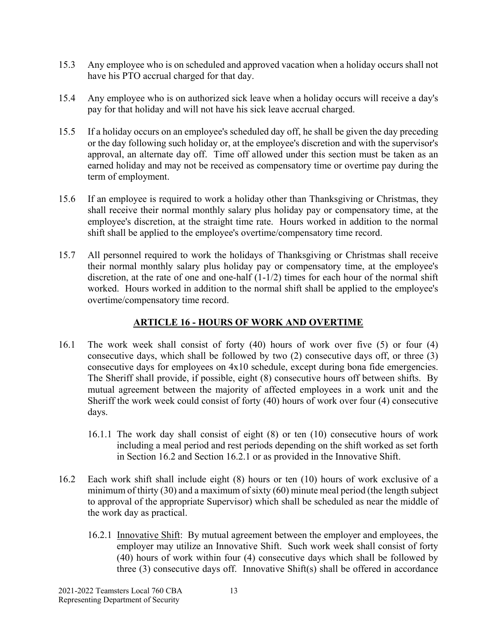- 15.3 Any employee who is on scheduled and approved vacation when a holiday occurs shall not have his PTO accrual charged for that day.
- 15.4 Any employee who is on authorized sick leave when a holiday occurs will receive a day's pay for that holiday and will not have his sick leave accrual charged.
- 15.5 If a holiday occurs on an employee's scheduled day off, he shall be given the day preceding or the day following such holiday or, at the employee's discretion and with the supervisor's approval, an alternate day off. Time off allowed under this section must be taken as an earned holiday and may not be received as compensatory time or overtime pay during the term of employment.
- 15.6 If an employee is required to work a holiday other than Thanksgiving or Christmas, they shall receive their normal monthly salary plus holiday pay or compensatory time, at the employee's discretion, at the straight time rate. Hours worked in addition to the normal shift shall be applied to the employee's overtime/compensatory time record.
- 15.7 All personnel required to work the holidays of Thanksgiving or Christmas shall receive their normal monthly salary plus holiday pay or compensatory time, at the employee's discretion, at the rate of one and one-half (1-1/2) times for each hour of the normal shift worked. Hours worked in addition to the normal shift shall be applied to the employee's overtime/compensatory time record.

#### **ARTICLE 16 - HOURS OF WORK AND OVERTIME**

- 16.1 The work week shall consist of forty (40) hours of work over five (5) or four (4) consecutive days, which shall be followed by two (2) consecutive days off, or three (3) consecutive days for employees on 4x10 schedule, except during bona fide emergencies. The Sheriff shall provide, if possible, eight (8) consecutive hours off between shifts. By mutual agreement between the majority of affected employees in a work unit and the Sheriff the work week could consist of forty (40) hours of work over four (4) consecutive days.
	- 16.1.1 The work day shall consist of eight (8) or ten (10) consecutive hours of work including a meal period and rest periods depending on the shift worked as set forth in Section 16.2 and Section 16.2.1 or as provided in the Innovative Shift.
- 16.2 Each work shift shall include eight (8) hours or ten (10) hours of work exclusive of a minimum of thirty (30) and a maximum of sixty (60) minute meal period (the length subject to approval of the appropriate Supervisor) which shall be scheduled as near the middle of the work day as practical.
	- 16.2.1 Innovative Shift: By mutual agreement between the employer and employees, the employer may utilize an Innovative Shift. Such work week shall consist of forty (40) hours of work within four (4) consecutive days which shall be followed by three (3) consecutive days off. Innovative Shift(s) shall be offered in accordance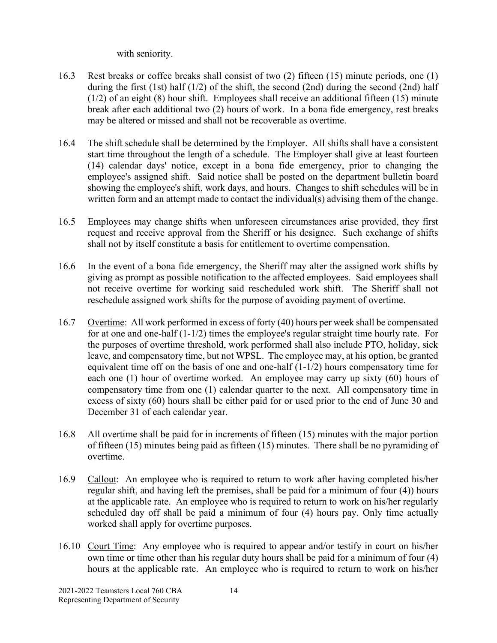with seniority.

- 16.3 Rest breaks or coffee breaks shall consist of two (2) fifteen (15) minute periods, one (1) during the first (1st) half  $(1/2)$  of the shift, the second  $(2nd)$  during the second  $(2nd)$  half (1/2) of an eight (8) hour shift. Employees shall receive an additional fifteen (15) minute break after each additional two (2) hours of work. In a bona fide emergency, rest breaks may be altered or missed and shall not be recoverable as overtime.
- 16.4 The shift schedule shall be determined by the Employer. All shifts shall have a consistent start time throughout the length of a schedule. The Employer shall give at least fourteen (14) calendar days' notice, except in a bona fide emergency, prior to changing the employee's assigned shift. Said notice shall be posted on the department bulletin board showing the employee's shift, work days, and hours. Changes to shift schedules will be in written form and an attempt made to contact the individual(s) advising them of the change.
- 16.5 Employees may change shifts when unforeseen circumstances arise provided, they first request and receive approval from the Sheriff or his designee. Such exchange of shifts shall not by itself constitute a basis for entitlement to overtime compensation.
- 16.6 In the event of a bona fide emergency, the Sheriff may alter the assigned work shifts by giving as prompt as possible notification to the affected employees. Said employees shall not receive overtime for working said rescheduled work shift. The Sheriff shall not reschedule assigned work shifts for the purpose of avoiding payment of overtime.
- 16.7 Overtime: All work performed in excess of forty (40) hours per week shall be compensated for at one and one-half (1-1/2) times the employee's regular straight time hourly rate. For the purposes of overtime threshold, work performed shall also include PTO, holiday, sick leave, and compensatory time, but not WPSL. The employee may, at his option, be granted equivalent time off on the basis of one and one-half (1-1/2) hours compensatory time for each one (1) hour of overtime worked. An employee may carry up sixty (60) hours of compensatory time from one (1) calendar quarter to the next. All compensatory time in excess of sixty (60) hours shall be either paid for or used prior to the end of June 30 and December 31 of each calendar year.
- 16.8 All overtime shall be paid for in increments of fifteen (15) minutes with the major portion of fifteen (15) minutes being paid as fifteen (15) minutes. There shall be no pyramiding of overtime.
- 16.9 Callout: An employee who is required to return to work after having completed his/her regular shift, and having left the premises, shall be paid for a minimum of four (4)) hours at the applicable rate. An employee who is required to return to work on his/her regularly scheduled day off shall be paid a minimum of four (4) hours pay. Only time actually worked shall apply for overtime purposes.
- 16.10 Court Time: Any employee who is required to appear and/or testify in court on his/her own time or time other than his regular duty hours shall be paid for a minimum of four (4) hours at the applicable rate. An employee who is required to return to work on his/her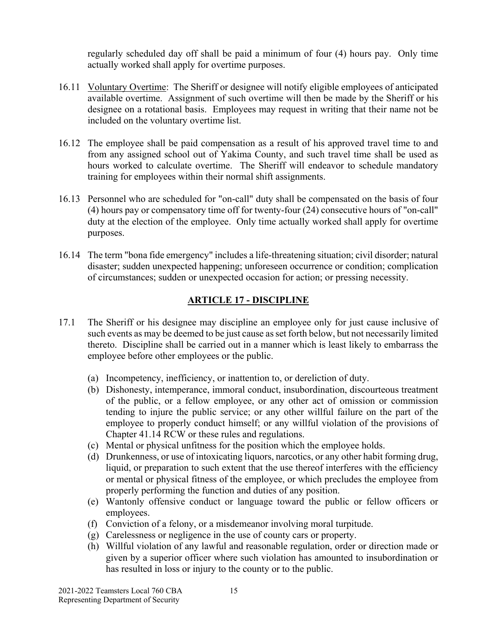regularly scheduled day off shall be paid a minimum of four (4) hours pay. Only time actually worked shall apply for overtime purposes.

- 16.11 Voluntary Overtime: The Sheriff or designee will notify eligible employees of anticipated available overtime. Assignment of such overtime will then be made by the Sheriff or his designee on a rotational basis. Employees may request in writing that their name not be included on the voluntary overtime list.
- 16.12 The employee shall be paid compensation as a result of his approved travel time to and from any assigned school out of Yakima County, and such travel time shall be used as hours worked to calculate overtime. The Sheriff will endeavor to schedule mandatory training for employees within their normal shift assignments.
- 16.13 Personnel who are scheduled for "on-call" duty shall be compensated on the basis of four (4) hours pay or compensatory time off for twenty-four (24) consecutive hours of "on-call" duty at the election of the employee. Only time actually worked shall apply for overtime purposes.
- 16.14 The term "bona fide emergency" includes a life-threatening situation; civil disorder; natural disaster; sudden unexpected happening; unforeseen occurrence or condition; complication of circumstances; sudden or unexpected occasion for action; or pressing necessity.

#### **ARTICLE 17 - DISCIPLINE**

- 17.1 The Sheriff or his designee may discipline an employee only for just cause inclusive of such events as may be deemed to be just cause as set forth below, but not necessarily limited thereto. Discipline shall be carried out in a manner which is least likely to embarrass the employee before other employees or the public.
	- (a) Incompetency, inefficiency, or inattention to, or dereliction of duty.
	- (b) Dishonesty, intemperance, immoral conduct, insubordination, discourteous treatment of the public, or a fellow employee, or any other act of omission or commission tending to injure the public service; or any other willful failure on the part of the employee to properly conduct himself; or any willful violation of the provisions of Chapter 41.14 RCW or these rules and regulations.
	- (c) Mental or physical unfitness for the position which the employee holds.
	- (d) Drunkenness, or use of intoxicating liquors, narcotics, or any other habit forming drug, liquid, or preparation to such extent that the use thereof interferes with the efficiency or mental or physical fitness of the employee, or which precludes the employee from properly performing the function and duties of any position.
	- (e) Wantonly offensive conduct or language toward the public or fellow officers or employees.
	- (f) Conviction of a felony, or a misdemeanor involving moral turpitude.
	- (g) Carelessness or negligence in the use of county cars or property.
	- (h) Willful violation of any lawful and reasonable regulation, order or direction made or given by a superior officer where such violation has amounted to insubordination or has resulted in loss or injury to the county or to the public.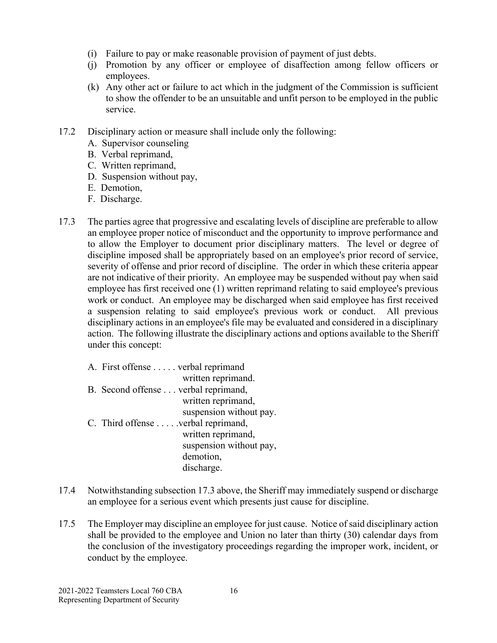- (i) Failure to pay or make reasonable provision of payment of just debts.
- (j) Promotion by any officer or employee of disaffection among fellow officers or employees.
- (k) Any other act or failure to act which in the judgment of the Commission is sufficient to show the offender to be an unsuitable and unfit person to be employed in the public service.
- 17.2 Disciplinary action or measure shall include only the following:
	- A. Supervisor counseling
	- B. Verbal reprimand,
	- C. Written reprimand,
	- D. Suspension without pay,
	- E. Demotion,
	- F. Discharge.
- 17.3 The parties agree that progressive and escalating levels of discipline are preferable to allow an employee proper notice of misconduct and the opportunity to improve performance and to allow the Employer to document prior disciplinary matters. The level or degree of discipline imposed shall be appropriately based on an employee's prior record of service, severity of offense and prior record of discipline. The order in which these criteria appear are not indicative of their priority. An employee may be suspended without pay when said employee has first received one (1) written reprimand relating to said employee's previous work or conduct. An employee may be discharged when said employee has first received a suspension relating to said employee's previous work or conduct. All previous disciplinary actions in an employee's file may be evaluated and considered in a disciplinary action. The following illustrate the disciplinary actions and options available to the Sheriff under this concept:
	- A. First offense . . . . . verbal reprimand written reprimand. B. Second offense . . . verbal reprimand, written reprimand, suspension without pay. C. Third offense . . . . .verbal reprimand, written reprimand, suspension without pay, demotion, discharge.
- 17.4 Notwithstanding subsection 17.3 above, the Sheriff may immediately suspend or discharge an employee for a serious event which presents just cause for discipline.
- 17.5 The Employer may discipline an employee for just cause. Notice of said disciplinary action shall be provided to the employee and Union no later than thirty (30) calendar days from the conclusion of the investigatory proceedings regarding the improper work, incident, or conduct by the employee.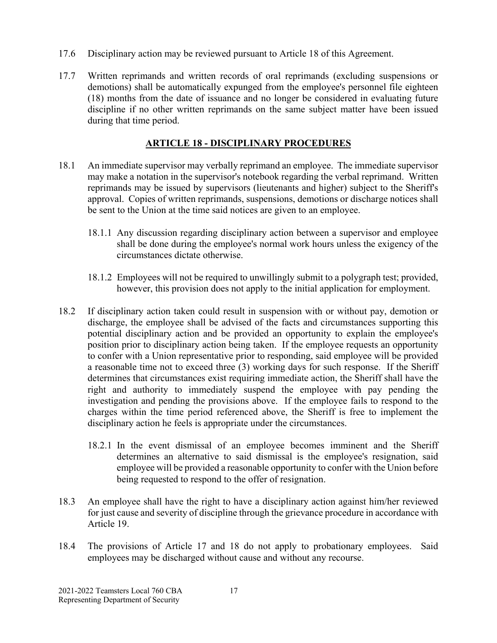- 17.6 Disciplinary action may be reviewed pursuant to Article 18 of this Agreement.
- 17.7 Written reprimands and written records of oral reprimands (excluding suspensions or demotions) shall be automatically expunged from the employee's personnel file eighteen (18) months from the date of issuance and no longer be considered in evaluating future discipline if no other written reprimands on the same subject matter have been issued during that time period.

#### **ARTICLE 18 - DISCIPLINARY PROCEDURES**

- 18.1 An immediate supervisor may verbally reprimand an employee. The immediate supervisor may make a notation in the supervisor's notebook regarding the verbal reprimand. Written reprimands may be issued by supervisors (lieutenants and higher) subject to the Sheriff's approval. Copies of written reprimands, suspensions, demotions or discharge notices shall be sent to the Union at the time said notices are given to an employee.
	- 18.1.1 Any discussion regarding disciplinary action between a supervisor and employee shall be done during the employee's normal work hours unless the exigency of the circumstances dictate otherwise.
	- 18.1.2 Employees will not be required to unwillingly submit to a polygraph test; provided, however, this provision does not apply to the initial application for employment.
- 18.2 If disciplinary action taken could result in suspension with or without pay, demotion or discharge, the employee shall be advised of the facts and circumstances supporting this potential disciplinary action and be provided an opportunity to explain the employee's position prior to disciplinary action being taken. If the employee requests an opportunity to confer with a Union representative prior to responding, said employee will be provided a reasonable time not to exceed three (3) working days for such response. If the Sheriff determines that circumstances exist requiring immediate action, the Sheriff shall have the right and authority to immediately suspend the employee with pay pending the investigation and pending the provisions above. If the employee fails to respond to the charges within the time period referenced above, the Sheriff is free to implement the disciplinary action he feels is appropriate under the circumstances.
	- 18.2.1 In the event dismissal of an employee becomes imminent and the Sheriff determines an alternative to said dismissal is the employee's resignation, said employee will be provided a reasonable opportunity to confer with the Union before being requested to respond to the offer of resignation.
- 18.3 An employee shall have the right to have a disciplinary action against him/her reviewed for just cause and severity of discipline through the grievance procedure in accordance with Article 19.
- 18.4 The provisions of Article 17 and 18 do not apply to probationary employees. Said employees may be discharged without cause and without any recourse.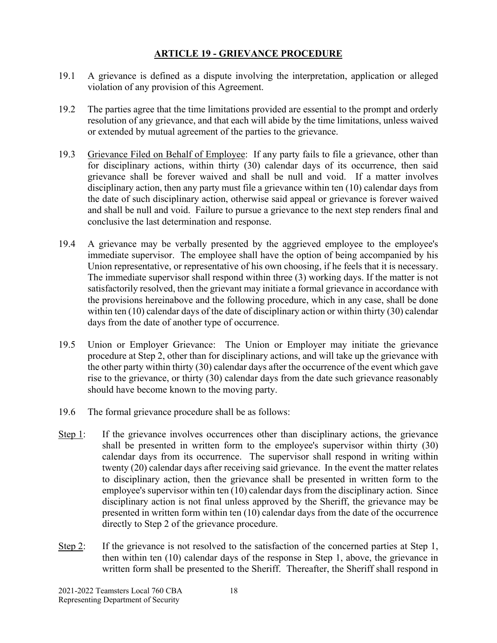#### **ARTICLE 19 - GRIEVANCE PROCEDURE**

- 19.1 A grievance is defined as a dispute involving the interpretation, application or alleged violation of any provision of this Agreement.
- 19.2 The parties agree that the time limitations provided are essential to the prompt and orderly resolution of any grievance, and that each will abide by the time limitations, unless waived or extended by mutual agreement of the parties to the grievance.
- 19.3 Grievance Filed on Behalf of Employee: If any party fails to file a grievance, other than for disciplinary actions, within thirty (30) calendar days of its occurrence, then said grievance shall be forever waived and shall be null and void. If a matter involves disciplinary action, then any party must file a grievance within ten (10) calendar days from the date of such disciplinary action, otherwise said appeal or grievance is forever waived and shall be null and void. Failure to pursue a grievance to the next step renders final and conclusive the last determination and response.
- 19.4 A grievance may be verbally presented by the aggrieved employee to the employee's immediate supervisor. The employee shall have the option of being accompanied by his Union representative, or representative of his own choosing, if he feels that it is necessary. The immediate supervisor shall respond within three (3) working days. If the matter is not satisfactorily resolved, then the grievant may initiate a formal grievance in accordance with the provisions hereinabove and the following procedure, which in any case, shall be done within ten (10) calendar days of the date of disciplinary action or within thirty (30) calendar days from the date of another type of occurrence.
- 19.5 Union or Employer Grievance: The Union or Employer may initiate the grievance procedure at Step 2, other than for disciplinary actions, and will take up the grievance with the other party within thirty (30) calendar days after the occurrence of the event which gave rise to the grievance, or thirty (30) calendar days from the date such grievance reasonably should have become known to the moving party.
- 19.6 The formal grievance procedure shall be as follows:
- Step 1: If the grievance involves occurrences other than disciplinary actions, the grievance shall be presented in written form to the employee's supervisor within thirty (30) calendar days from its occurrence. The supervisor shall respond in writing within twenty (20) calendar days after receiving said grievance. In the event the matter relates to disciplinary action, then the grievance shall be presented in written form to the employee's supervisor within ten (10) calendar days from the disciplinary action. Since disciplinary action is not final unless approved by the Sheriff, the grievance may be presented in written form within ten (10) calendar days from the date of the occurrence directly to Step 2 of the grievance procedure.
- Step 2: If the grievance is not resolved to the satisfaction of the concerned parties at Step 1, then within ten (10) calendar days of the response in Step 1, above, the grievance in written form shall be presented to the Sheriff. Thereafter, the Sheriff shall respond in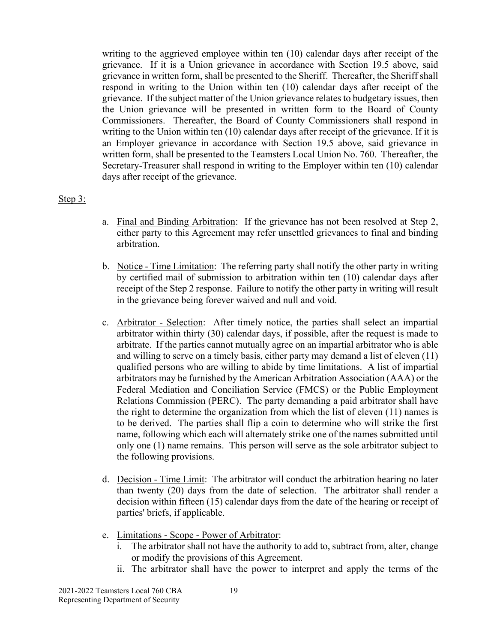writing to the aggrieved employee within ten (10) calendar days after receipt of the grievance. If it is a Union grievance in accordance with Section 19.5 above, said grievance in written form, shall be presented to the Sheriff. Thereafter, the Sheriff shall respond in writing to the Union within ten (10) calendar days after receipt of the grievance. If the subject matter of the Union grievance relates to budgetary issues, then the Union grievance will be presented in written form to the Board of County Commissioners. Thereafter, the Board of County Commissioners shall respond in writing to the Union within ten (10) calendar days after receipt of the grievance. If it is an Employer grievance in accordance with Section 19.5 above, said grievance in written form, shall be presented to the Teamsters Local Union No. 760. Thereafter, the Secretary-Treasurer shall respond in writing to the Employer within ten (10) calendar days after receipt of the grievance.

#### Step 3:

- a. Final and Binding Arbitration: If the grievance has not been resolved at Step 2, either party to this Agreement may refer unsettled grievances to final and binding arbitration.
- b. Notice Time Limitation: The referring party shall notify the other party in writing by certified mail of submission to arbitration within ten (10) calendar days after receipt of the Step 2 response. Failure to notify the other party in writing will result in the grievance being forever waived and null and void.
- c. Arbitrator Selection: After timely notice, the parties shall select an impartial arbitrator within thirty (30) calendar days, if possible, after the request is made to arbitrate. If the parties cannot mutually agree on an impartial arbitrator who is able and willing to serve on a timely basis, either party may demand a list of eleven (11) qualified persons who are willing to abide by time limitations. A list of impartial arbitrators may be furnished by the American Arbitration Association (AAA) or the Federal Mediation and Conciliation Service (FMCS) or the Public Employment Relations Commission (PERC). The party demanding a paid arbitrator shall have the right to determine the organization from which the list of eleven (11) names is to be derived. The parties shall flip a coin to determine who will strike the first name, following which each will alternately strike one of the names submitted until only one (1) name remains. This person will serve as the sole arbitrator subject to the following provisions.
- d. Decision Time Limit: The arbitrator will conduct the arbitration hearing no later than twenty (20) days from the date of selection. The arbitrator shall render a decision within fifteen (15) calendar days from the date of the hearing or receipt of parties' briefs, if applicable.
- e. Limitations Scope Power of Arbitrator:
	- i. The arbitrator shall not have the authority to add to, subtract from, alter, change or modify the provisions of this Agreement.
	- ii. The arbitrator shall have the power to interpret and apply the terms of the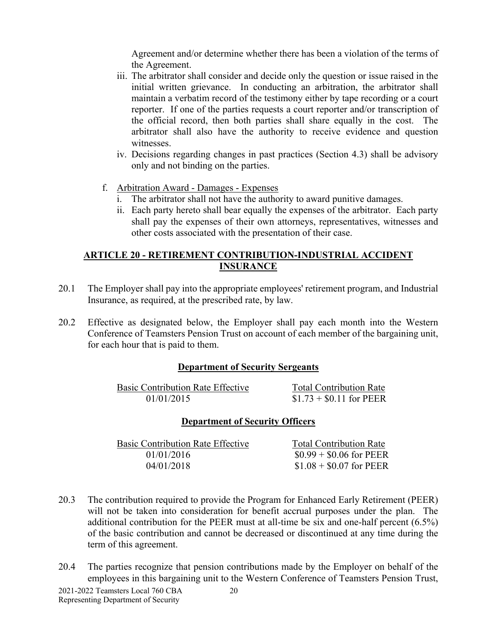Agreement and/or determine whether there has been a violation of the terms of the Agreement.

- iii. The arbitrator shall consider and decide only the question or issue raised in the initial written grievance. In conducting an arbitration, the arbitrator shall maintain a verbatim record of the testimony either by tape recording or a court reporter. If one of the parties requests a court reporter and/or transcription of the official record, then both parties shall share equally in the cost. The arbitrator shall also have the authority to receive evidence and question witnesses.
- iv. Decisions regarding changes in past practices (Section 4.3) shall be advisory only and not binding on the parties.
- f. Arbitration Award Damages Expenses
	- i. The arbitrator shall not have the authority to award punitive damages.
	- ii. Each party hereto shall bear equally the expenses of the arbitrator. Each party shall pay the expenses of their own attorneys, representatives, witnesses and other costs associated with the presentation of their case.

#### **ARTICLE 20 - RETIREMENT CONTRIBUTION-INDUSTRIAL ACCIDENT INSURANCE**

- 20.1 The Employer shall pay into the appropriate employees' retirement program, and Industrial Insurance, as required, at the prescribed rate, by law.
- 20.2 Effective as designated below, the Employer shall pay each month into the Western Conference of Teamsters Pension Trust on account of each member of the bargaining unit, for each hour that is paid to them.

#### **Department of Security Sergeants**

| <b>Basic Contribution Rate Effective</b> | <b>Total Contribution Rate</b> |
|------------------------------------------|--------------------------------|
| 01/01/2015                               | $$1.73 + $0.11$ for PEER       |

#### **Department of Security Officers**

| <b>Basic Contribution Rate Effective</b> | <b>Total Contribution Rate</b> |
|------------------------------------------|--------------------------------|
| 01/01/2016                               | $$0.99 + $0.06$ for PEER       |
| 04/01/2018                               | $$1.08 + $0.07$ for PEER       |
|                                          |                                |

- 20.3 The contribution required to provide the Program for Enhanced Early Retirement (PEER) will not be taken into consideration for benefit accrual purposes under the plan. The additional contribution for the PEER must at all-time be six and one-half percent (6.5%) of the basic contribution and cannot be decreased or discontinued at any time during the term of this agreement.
- 2021-2022 Teamsters Local 760 CBA 20 20.4 The parties recognize that pension contributions made by the Employer on behalf of the employees in this bargaining unit to the Western Conference of Teamsters Pension Trust,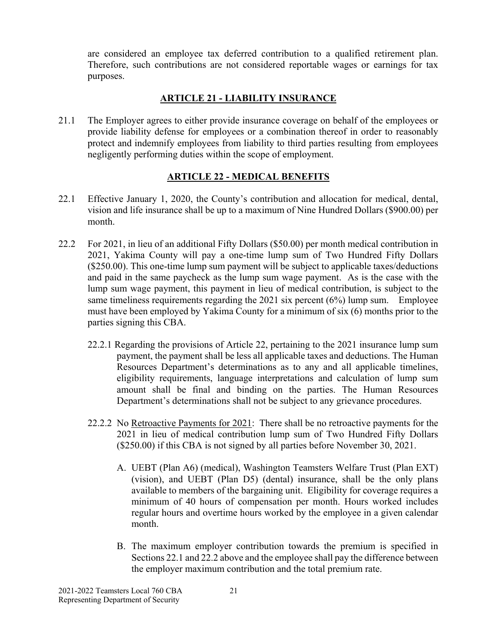are considered an employee tax deferred contribution to a qualified retirement plan. Therefore, such contributions are not considered reportable wages or earnings for tax purposes.

## **ARTICLE 21 - LIABILITY INSURANCE**

21.1 The Employer agrees to either provide insurance coverage on behalf of the employees or provide liability defense for employees or a combination thereof in order to reasonably protect and indemnify employees from liability to third parties resulting from employees negligently performing duties within the scope of employment.

#### **ARTICLE 22 - MEDICAL BENEFITS**

- 22.1 Effective January 1, 2020, the County's contribution and allocation for medical, dental, vision and life insurance shall be up to a maximum of Nine Hundred Dollars (\$900.00) per month.
- 22.2 For 2021, in lieu of an additional Fifty Dollars (\$50.00) per month medical contribution in 2021, Yakima County will pay a one-time lump sum of Two Hundred Fifty Dollars (\$250.00). This one-time lump sum payment will be subject to applicable taxes/deductions and paid in the same paycheck as the lump sum wage payment. As is the case with the lump sum wage payment, this payment in lieu of medical contribution, is subject to the same timeliness requirements regarding the 2021 six percent  $(6%)$  lump sum. Employee must have been employed by Yakima County for a minimum of six (6) months prior to the parties signing this CBA.
	- 22.2.1 Regarding the provisions of Article 22, pertaining to the 2021 insurance lump sum payment, the payment shall be less all applicable taxes and deductions. The Human Resources Department's determinations as to any and all applicable timelines, eligibility requirements, language interpretations and calculation of lump sum amount shall be final and binding on the parties. The Human Resources Department's determinations shall not be subject to any grievance procedures.
	- 22.2.2 No Retroactive Payments for 2021: There shall be no retroactive payments for the 2021 in lieu of medical contribution lump sum of Two Hundred Fifty Dollars (\$250.00) if this CBA is not signed by all parties before November 30, 2021.
		- A. UEBT (Plan A6) (medical), Washington Teamsters Welfare Trust (Plan EXT) (vision), and UEBT (Plan D5) (dental) insurance, shall be the only plans available to members of the bargaining unit. Eligibility for coverage requires a minimum of 40 hours of compensation per month. Hours worked includes regular hours and overtime hours worked by the employee in a given calendar month.
		- B. The maximum employer contribution towards the premium is specified in Sections 22.1 and 22.2 above and the employee shall pay the difference between the employer maximum contribution and the total premium rate.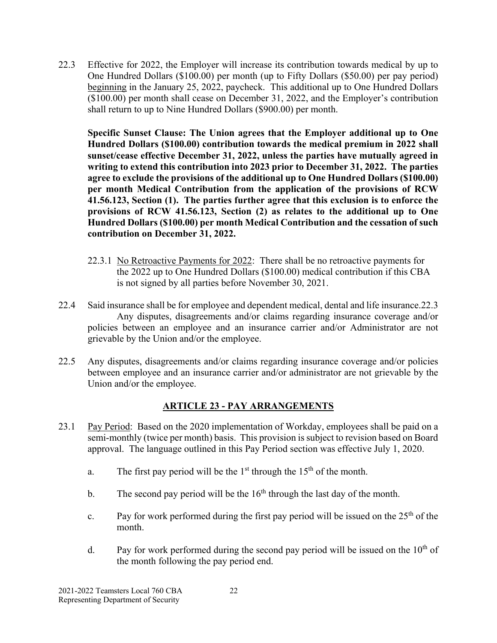22.3 Effective for 2022, the Employer will increase its contribution towards medical by up to One Hundred Dollars (\$100.00) per month (up to Fifty Dollars (\$50.00) per pay period) beginning in the January 25, 2022, paycheck. This additional up to One Hundred Dollars (\$100.00) per month shall cease on December 31, 2022, and the Employer's contribution shall return to up to Nine Hundred Dollars (\$900.00) per month.

**Specific Sunset Clause: The Union agrees that the Employer additional up to One Hundred Dollars (\$100.00) contribution towards the medical premium in 2022 shall sunset/cease effective December 31, 2022, unless the parties have mutually agreed in writing to extend this contribution into 2023 prior to December 31, 2022. The parties agree to exclude the provisions of the additional up to One Hundred Dollars (\$100.00) per month Medical Contribution from the application of the provisions of RCW 41.56.123, Section (1). The parties further agree that this exclusion is to enforce the provisions of RCW 41.56.123, Section (2) as relates to the additional up to One Hundred Dollars (\$100.00) per month Medical Contribution and the cessation of such contribution on December 31, 2022.** 

- 22.3.1 No Retroactive Payments for 2022: There shall be no retroactive payments for the 2022 up to One Hundred Dollars (\$100.00) medical contribution if this CBA is not signed by all parties before November 30, 2021.
- 22.4 Said insurance shall be for employee and dependent medical, dental and life insurance.22.3 Any disputes, disagreements and/or claims regarding insurance coverage and/or policies between an employee and an insurance carrier and/or Administrator are not grievable by the Union and/or the employee.
- 22.5 Any disputes, disagreements and/or claims regarding insurance coverage and/or policies between employee and an insurance carrier and/or administrator are not grievable by the Union and/or the employee.

# **ARTICLE 23 - PAY ARRANGEMENTS**

- 23.1 Pay Period:Based on the 2020 implementation of Workday, employees shall be paid on a semi-monthly (twice per month) basis. This provision is subject to revision based on Board approval. The language outlined in this Pay Period section was effective July 1, 2020.
	- a. The first pay period will be the  $1<sup>st</sup>$  through the  $15<sup>th</sup>$  of the month.
	- b. The second pay period will be the  $16<sup>th</sup>$  through the last day of the month.
	- c. Pay for work performed during the first pay period will be issued on the  $25<sup>th</sup>$  of the month.
	- d. Pay for work performed during the second pay period will be issued on the  $10<sup>th</sup>$  of the month following the pay period end.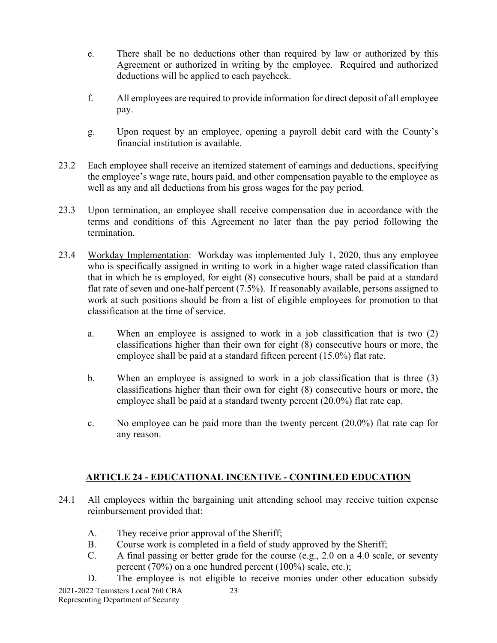- e. There shall be no deductions other than required by law or authorized by this Agreement or authorized in writing by the employee. Required and authorized deductions will be applied to each paycheck.
- f. All employees are required to provide information for direct deposit of all employee pay.
- g. Upon request by an employee, opening a payroll debit card with the County's financial institution is available.
- 23.2 Each employee shall receive an itemized statement of earnings and deductions, specifying the employee's wage rate, hours paid, and other compensation payable to the employee as well as any and all deductions from his gross wages for the pay period.
- 23.3 Upon termination, an employee shall receive compensation due in accordance with the terms and conditions of this Agreement no later than the pay period following the termination.
- 23.4 Workday Implementation: Workday was implemented July 1, 2020, thus any employee who is specifically assigned in writing to work in a higher wage rated classification than that in which he is employed, for eight (8) consecutive hours, shall be paid at a standard flat rate of seven and one-half percent (7.5%). If reasonably available, persons assigned to work at such positions should be from a list of eligible employees for promotion to that classification at the time of service.
	- a. When an employee is assigned to work in a job classification that is two (2) classifications higher than their own for eight (8) consecutive hours or more, the employee shall be paid at a standard fifteen percent (15.0%) flat rate.
	- b. When an employee is assigned to work in a job classification that is three (3) classifications higher than their own for eight (8) consecutive hours or more, the employee shall be paid at a standard twenty percent (20.0%) flat rate cap.
	- c. No employee can be paid more than the twenty percent (20.0%) flat rate cap for any reason.

# **ARTICLE 24 - EDUCATIONAL INCENTIVE - CONTINUED EDUCATION**

- 24.1 All employees within the bargaining unit attending school may receive tuition expense reimbursement provided that:
	- A. They receive prior approval of the Sheriff;
	- B. Course work is completed in a field of study approved by the Sheriff;
	- C. A final passing or better grade for the course (e.g., 2.0 on a 4.0 scale, or seventy percent (70%) on a one hundred percent (100%) scale, etc.);
- 2021-2022 Teamsters Local 760 CBA 23 D. The employee is not eligible to receive monies under other education subsidy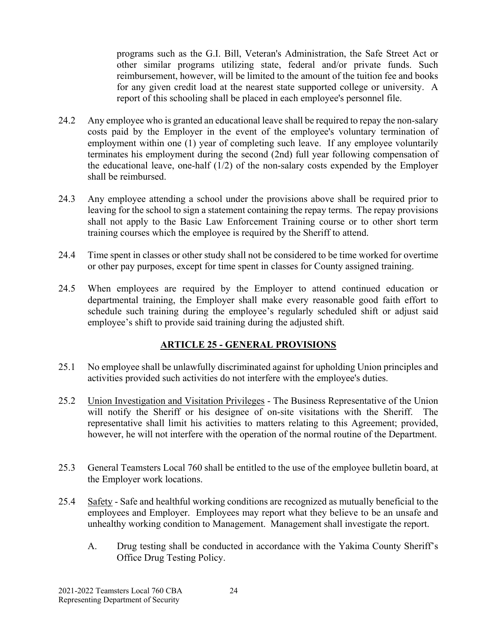programs such as the G.I. Bill, Veteran's Administration, the Safe Street Act or other similar programs utilizing state, federal and/or private funds. Such reimbursement, however, will be limited to the amount of the tuition fee and books for any given credit load at the nearest state supported college or university. A report of this schooling shall be placed in each employee's personnel file.

- 24.2 Any employee who is granted an educational leave shall be required to repay the non-salary costs paid by the Employer in the event of the employee's voluntary termination of employment within one (1) year of completing such leave. If any employee voluntarily terminates his employment during the second (2nd) full year following compensation of the educational leave, one-half (1/2) of the non-salary costs expended by the Employer shall be reimbursed.
- 24.3 Any employee attending a school under the provisions above shall be required prior to leaving for the school to sign a statement containing the repay terms. The repay provisions shall not apply to the Basic Law Enforcement Training course or to other short term training courses which the employee is required by the Sheriff to attend.
- 24.4 Time spent in classes or other study shall not be considered to be time worked for overtime or other pay purposes, except for time spent in classes for County assigned training.
- 24.5 When employees are required by the Employer to attend continued education or departmental training, the Employer shall make every reasonable good faith effort to schedule such training during the employee's regularly scheduled shift or adjust said employee's shift to provide said training during the adjusted shift.

# **ARTICLE 25 - GENERAL PROVISIONS**

- 25.1 No employee shall be unlawfully discriminated against for upholding Union principles and activities provided such activities do not interfere with the employee's duties.
- 25.2 Union Investigation and Visitation Privileges The Business Representative of the Union will notify the Sheriff or his designee of on-site visitations with the Sheriff. The representative shall limit his activities to matters relating to this Agreement; provided, however, he will not interfere with the operation of the normal routine of the Department.
- 25.3 General Teamsters Local 760 shall be entitled to the use of the employee bulletin board, at the Employer work locations.
- 25.4 Safety Safe and healthful working conditions are recognized as mutually beneficial to the employees and Employer. Employees may report what they believe to be an unsafe and unhealthy working condition to Management. Management shall investigate the report.
	- A. Drug testing shall be conducted in accordance with the Yakima County Sheriff's Office Drug Testing Policy.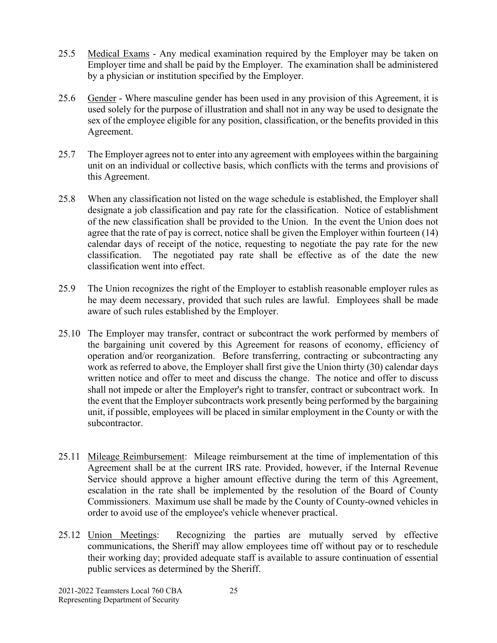- 25.5 Medical Exams Any medical examination required by the Employer may be taken on Employer time and shall be paid by the Employer. The examination shall be administered by a physician or institution specified by the Employer.
- 25.6 Gender Where masculine gender has been used in any provision of this Agreement, it is used solely for the purpose of illustration and shall not in any way be used to designate the sex of the employee eligible for any position, classification, or the benefits provided in this Agreement.
- 25.7 The Employer agrees not to enter into any agreement with employees within the bargaining unit on an individual or collective basis, which conflicts with the terms and provisions of this Agreement.
- 25.8 When any classification not listed on the wage schedule is established, the Employer shall designate a job classification and pay rate for the classification. Notice of establishment of the new classification shall be provided to the Union. In the event the Union does not agree that the rate of pay is correct, notice shall be given the Employer within fourteen (14) calendar days of receipt of the notice, requesting to negotiate the pay rate for the new classification. The negotiated pay rate shall be effective as of the date the new classification went into effect.
- 25.9 The Union recognizes the right of the Employer to establish reasonable employer rules as he may deem necessary, provided that such rules are lawful. Employees shall be made aware of such rules established by the Employer.
- 25.10 The Employer may transfer, contract or subcontract the work performed by members of the bargaining unit covered by this Agreement for reasons of economy, efficiency of operation and/or reorganization. Before transferring, contracting or subcontracting any work as referred to above, the Employer shall first give the Union thirty (30) calendar days written notice and offer to meet and discuss the change. The notice and offer to discuss shall not impede or alter the Employer's right to transfer, contract or subcontract work. In the event that the Employer subcontracts work presently being performed by the bargaining unit, if possible, employees will be placed in similar employment in the County or with the subcontractor.
- 25.11 Mileage Reimbursement: Mileage reimbursement at the time of implementation of this Agreement shall be at the current IRS rate. Provided, however, if the Internal Revenue Service should approve a higher amount effective during the term of this Agreement, escalation in the rate shall be implemented by the resolution of the Board of County Commissioners. Maximum use shall be made by the County of County-owned vehicles in order to avoid use of the employee's vehicle whenever practical.
- 25.12 Union Meetings: Recognizing the parties are mutually served by effective communications, the Sheriff may allow employees time off without pay or to reschedule their working day; provided adequate staff is available to assure continuation of essential public services as determined by the Sheriff.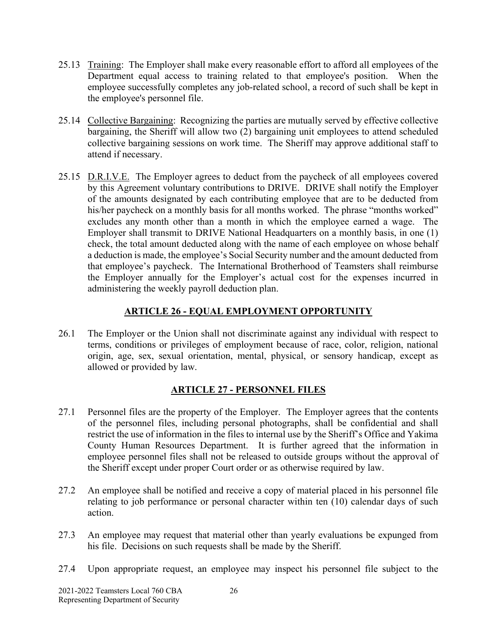- 25.13 Training: The Employer shall make every reasonable effort to afford all employees of the Department equal access to training related to that employee's position. When the employee successfully completes any job-related school, a record of such shall be kept in the employee's personnel file.
- 25.14 Collective Bargaining: Recognizing the parties are mutually served by effective collective bargaining, the Sheriff will allow two (2) bargaining unit employees to attend scheduled collective bargaining sessions on work time. The Sheriff may approve additional staff to attend if necessary.
- 25.15 D.R.I.V.E. The Employer agrees to deduct from the paycheck of all employees covered by this Agreement voluntary contributions to DRIVE. DRIVE shall notify the Employer of the amounts designated by each contributing employee that are to be deducted from his/her paycheck on a monthly basis for all months worked. The phrase "months worked" excludes any month other than a month in which the employee earned a wage. The Employer shall transmit to DRIVE National Headquarters on a monthly basis, in one (1) check, the total amount deducted along with the name of each employee on whose behalf a deduction is made, the employee's Social Security number and the amount deducted from that employee's paycheck. The International Brotherhood of Teamsters shall reimburse the Employer annually for the Employer's actual cost for the expenses incurred in administering the weekly payroll deduction plan.

#### **ARTICLE 26 - EQUAL EMPLOYMENT OPPORTUNITY**

26.1 The Employer or the Union shall not discriminate against any individual with respect to terms, conditions or privileges of employment because of race, color, religion, national origin, age, sex, sexual orientation, mental, physical, or sensory handicap, except as allowed or provided by law.

#### **ARTICLE 27 - PERSONNEL FILES**

- 27.1 Personnel files are the property of the Employer. The Employer agrees that the contents of the personnel files, including personal photographs, shall be confidential and shall restrict the use of information in the files to internal use by the Sheriff's Office and Yakima County Human Resources Department. It is further agreed that the information in employee personnel files shall not be released to outside groups without the approval of the Sheriff except under proper Court order or as otherwise required by law.
- 27.2 An employee shall be notified and receive a copy of material placed in his personnel file relating to job performance or personal character within ten (10) calendar days of such action.
- 27.3 An employee may request that material other than yearly evaluations be expunged from his file. Decisions on such requests shall be made by the Sheriff.
- 27.4 Upon appropriate request, an employee may inspect his personnel file subject to the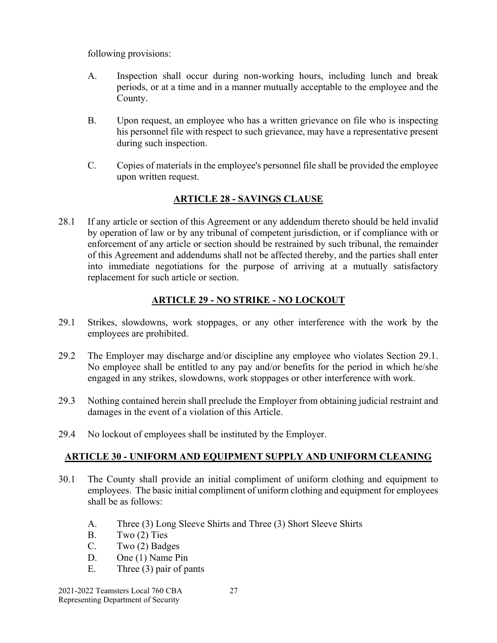following provisions:

- A. Inspection shall occur during non-working hours, including lunch and break periods, or at a time and in a manner mutually acceptable to the employee and the County.
- B. Upon request, an employee who has a written grievance on file who is inspecting his personnel file with respect to such grievance, may have a representative present during such inspection.
- C. Copies of materials in the employee's personnel file shall be provided the employee upon written request.

# **ARTICLE 28 - SAVINGS CLAUSE**

28.1 If any article or section of this Agreement or any addendum thereto should be held invalid by operation of law or by any tribunal of competent jurisdiction, or if compliance with or enforcement of any article or section should be restrained by such tribunal, the remainder of this Agreement and addendums shall not be affected thereby, and the parties shall enter into immediate negotiations for the purpose of arriving at a mutually satisfactory replacement for such article or section.

# **ARTICLE 29 - NO STRIKE - NO LOCKOUT**

- 29.1 Strikes, slowdowns, work stoppages, or any other interference with the work by the employees are prohibited.
- 29.2 The Employer may discharge and/or discipline any employee who violates Section 29.1. No employee shall be entitled to any pay and/or benefits for the period in which he/she engaged in any strikes, slowdowns, work stoppages or other interference with work.
- 29.3 Nothing contained herein shall preclude the Employer from obtaining judicial restraint and damages in the event of a violation of this Article.
- 29.4 No lockout of employees shall be instituted by the Employer.

# **ARTICLE 30 - UNIFORM AND EQUIPMENT SUPPLY AND UNIFORM CLEANING**

- 30.1 The County shall provide an initial compliment of uniform clothing and equipment to employees. The basic initial compliment of uniform clothing and equipment for employees shall be as follows:
	- A. Three (3) Long Sleeve Shirts and Three (3) Short Sleeve Shirts
	- B. Two (2) Ties
	- C. Two (2) Badges
	- D. One (1) Name Pin
	- E. Three (3) pair of pants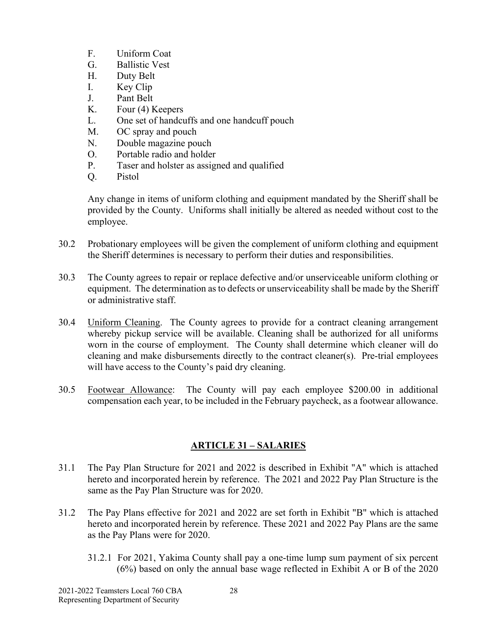- F. Uniform Coat
- G. Ballistic Vest
- H. Duty Belt
- I. Key Clip
- J. Pant Belt
- K. Four (4) Keepers
- L. One set of handcuffs and one handcuff pouch
- M. OC spray and pouch
- N. Double magazine pouch
- O. Portable radio and holder
- P. Taser and holster as assigned and qualified
- Q. Pistol

Any change in items of uniform clothing and equipment mandated by the Sheriff shall be provided by the County. Uniforms shall initially be altered as needed without cost to the employee.

- 30.2 Probationary employees will be given the complement of uniform clothing and equipment the Sheriff determines is necessary to perform their duties and responsibilities.
- 30.3 The County agrees to repair or replace defective and/or unserviceable uniform clothing or equipment. The determination as to defects or unserviceability shall be made by the Sheriff or administrative staff.
- 30.4 Uniform Cleaning. The County agrees to provide for a contract cleaning arrangement whereby pickup service will be available. Cleaning shall be authorized for all uniforms worn in the course of employment. The County shall determine which cleaner will do cleaning and make disbursements directly to the contract cleaner(s). Pre-trial employees will have access to the County's paid dry cleaning.
- 30.5 Footwear Allowance: The County will pay each employee \$200.00 in additional compensation each year, to be included in the February paycheck, as a footwear allowance.

# **ARTICLE 31 – SALARIES**

- 31.1 The Pay Plan Structure for 2021 and 2022 is described in Exhibit "A" which is attached hereto and incorporated herein by reference. The 2021 and 2022 Pay Plan Structure is the same as the Pay Plan Structure was for 2020.
- 31.2 The Pay Plans effective for 2021 and 2022 are set forth in Exhibit "B" which is attached hereto and incorporated herein by reference. These 2021 and 2022 Pay Plans are the same as the Pay Plans were for 2020.
	- 31.2.1 For 2021, Yakima County shall pay a one-time lump sum payment of six percent (6%) based on only the annual base wage reflected in Exhibit A or B of the 2020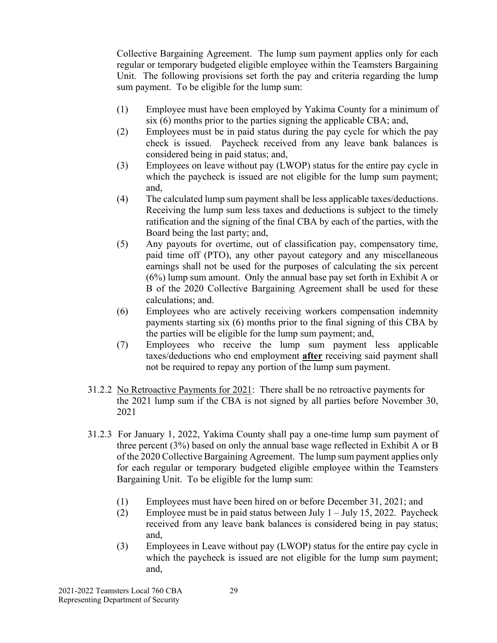Collective Bargaining Agreement. The lump sum payment applies only for each regular or temporary budgeted eligible employee within the Teamsters Bargaining Unit. The following provisions set forth the pay and criteria regarding the lump sum payment. To be eligible for the lump sum:

- (1) Employee must have been employed by Yakima County for a minimum of six (6) months prior to the parties signing the applicable CBA; and,
- (2) Employees must be in paid status during the pay cycle for which the pay check is issued. Paycheck received from any leave bank balances is considered being in paid status; and,
- (3) Employees on leave without pay (LWOP) status for the entire pay cycle in which the paycheck is issued are not eligible for the lump sum payment; and,
- (4) The calculated lump sum payment shall be less applicable taxes/deductions. Receiving the lump sum less taxes and deductions is subject to the timely ratification and the signing of the final CBA by each of the parties, with the Board being the last party; and,
- (5) Any payouts for overtime, out of classification pay, compensatory time, paid time off (PTO), any other payout category and any miscellaneous earnings shall not be used for the purposes of calculating the six percent (6%) lump sum amount. Only the annual base pay set forth in Exhibit A or B of the 2020 Collective Bargaining Agreement shall be used for these calculations; and.
- (6) Employees who are actively receiving workers compensation indemnity payments starting six (6) months prior to the final signing of this CBA by the parties will be eligible for the lump sum payment; and,
- (7) Employees who receive the lump sum payment less applicable taxes/deductions who end employment **after** receiving said payment shall not be required to repay any portion of the lump sum payment.
- 31.2.2 No Retroactive Payments for 2021: There shall be no retroactive payments for the 2021 lump sum if the CBA is not signed by all parties before November 30, 2021
- 31.2.3 For January 1, 2022, Yakima County shall pay a one-time lump sum payment of three percent (3%) based on only the annual base wage reflected in Exhibit A or B of the 2020 Collective Bargaining Agreement. The lump sum payment applies only for each regular or temporary budgeted eligible employee within the Teamsters Bargaining Unit. To be eligible for the lump sum:
	- (1) Employees must have been hired on or before December 31, 2021; and
	- (2) Employee must be in paid status between July  $1 -$  July 15, 2022. Paycheck received from any leave bank balances is considered being in pay status; and,
	- (3) Employees in Leave without pay (LWOP) status for the entire pay cycle in which the paycheck is issued are not eligible for the lump sum payment; and,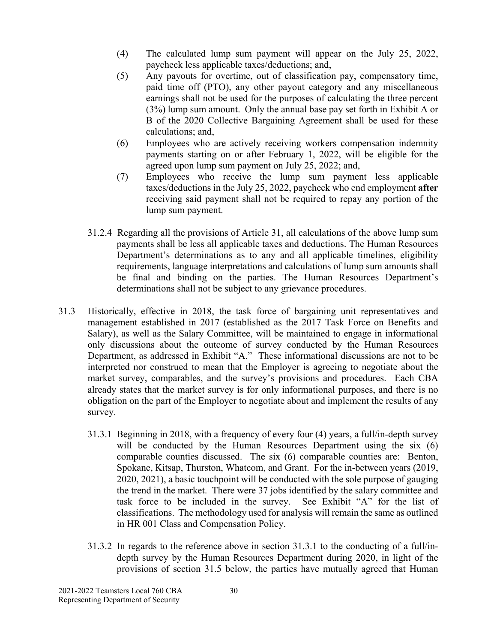- (4) The calculated lump sum payment will appear on the July 25, 2022, paycheck less applicable taxes/deductions; and,
- (5) Any payouts for overtime, out of classification pay, compensatory time, paid time off (PTO), any other payout category and any miscellaneous earnings shall not be used for the purposes of calculating the three percent (3%) lump sum amount. Only the annual base pay set forth in Exhibit A or B of the 2020 Collective Bargaining Agreement shall be used for these calculations; and,
- (6) Employees who are actively receiving workers compensation indemnity payments starting on or after February 1, 2022, will be eligible for the agreed upon lump sum payment on July 25, 2022; and,
- (7) Employees who receive the lump sum payment less applicable taxes/deductions in the July 25, 2022, paycheck who end employment **after**  receiving said payment shall not be required to repay any portion of the lump sum payment.
- 31.2.4 Regarding all the provisions of Article 31, all calculations of the above lump sum payments shall be less all applicable taxes and deductions. The Human Resources Department's determinations as to any and all applicable timelines, eligibility requirements, language interpretations and calculations of lump sum amounts shall be final and binding on the parties. The Human Resources Department's determinations shall not be subject to any grievance procedures.
- 31.3 Historically, effective in 2018, the task force of bargaining unit representatives and management established in 2017 (established as the 2017 Task Force on Benefits and Salary), as well as the Salary Committee, will be maintained to engage in informational only discussions about the outcome of survey conducted by the Human Resources Department, as addressed in Exhibit "A." These informational discussions are not to be interpreted nor construed to mean that the Employer is agreeing to negotiate about the market survey, comparables, and the survey's provisions and procedures. Each CBA already states that the market survey is for only informational purposes, and there is no obligation on the part of the Employer to negotiate about and implement the results of any survey.
	- 31.3.1 Beginning in 2018, with a frequency of every four (4) years, a full/in-depth survey will be conducted by the Human Resources Department using the six (6) comparable counties discussed. The six (6) comparable counties are: Benton, Spokane, Kitsap, Thurston, Whatcom, and Grant. For the in-between years (2019, 2020, 2021), a basic touchpoint will be conducted with the sole purpose of gauging the trend in the market. There were 37 jobs identified by the salary committee and task force to be included in the survey. See Exhibit "A" for the list of classifications. The methodology used for analysis will remain the same as outlined in HR 001 Class and Compensation Policy.
	- 31.3.2 In regards to the reference above in section 31.3.1 to the conducting of a full/indepth survey by the Human Resources Department during 2020, in light of the provisions of section 31.5 below, the parties have mutually agreed that Human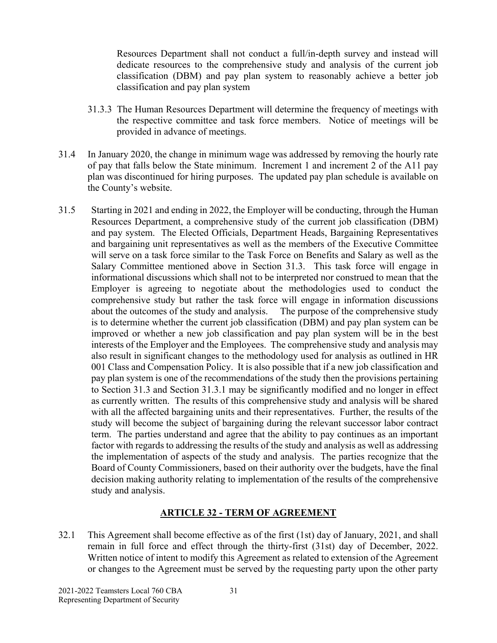Resources Department shall not conduct a full/in-depth survey and instead will dedicate resources to the comprehensive study and analysis of the current job classification (DBM) and pay plan system to reasonably achieve a better job classification and pay plan system

- 31.3.3 The Human Resources Department will determine the frequency of meetings with the respective committee and task force members. Notice of meetings will be provided in advance of meetings.
- 31.4 In January 2020, the change in minimum wage was addressed by removing the hourly rate of pay that falls below the State minimum. Increment 1 and increment 2 of the A11 pay plan was discontinued for hiring purposes. The updated pay plan schedule is available on the County's website.
- 31.5 Starting in 2021 and ending in 2022, the Employer will be conducting, through the Human Resources Department, a comprehensive study of the current job classification (DBM) and pay system. The Elected Officials, Department Heads, Bargaining Representatives and bargaining unit representatives as well as the members of the Executive Committee will serve on a task force similar to the Task Force on Benefits and Salary as well as the Salary Committee mentioned above in Section 31.3. This task force will engage in informational discussions which shall not to be interpreted nor construed to mean that the Employer is agreeing to negotiate about the methodologies used to conduct the comprehensive study but rather the task force will engage in information discussions about the outcomes of the study and analysis. The purpose of the comprehensive study is to determine whether the current job classification (DBM) and pay plan system can be improved or whether a new job classification and pay plan system will be in the best interests of the Employer and the Employees. The comprehensive study and analysis may also result in significant changes to the methodology used for analysis as outlined in HR 001 Class and Compensation Policy. It is also possible that if a new job classification and pay plan system is one of the recommendations of the study then the provisions pertaining to Section 31.3 and Section 31.3.1 may be significantly modified and no longer in effect as currently written. The results of this comprehensive study and analysis will be shared with all the affected bargaining units and their representatives. Further, the results of the study will become the subject of bargaining during the relevant successor labor contract term. The parties understand and agree that the ability to pay continues as an important factor with regards to addressing the results of the study and analysis as well as addressing the implementation of aspects of the study and analysis. The parties recognize that the Board of County Commissioners, based on their authority over the budgets, have the final decision making authority relating to implementation of the results of the comprehensive study and analysis.

#### **ARTICLE 32 - TERM OF AGREEMENT**

32.1 This Agreement shall become effective as of the first (1st) day of January, 2021, and shall remain in full force and effect through the thirty-first (31st) day of December, 2022. Written notice of intent to modify this Agreement as related to extension of the Agreement or changes to the Agreement must be served by the requesting party upon the other party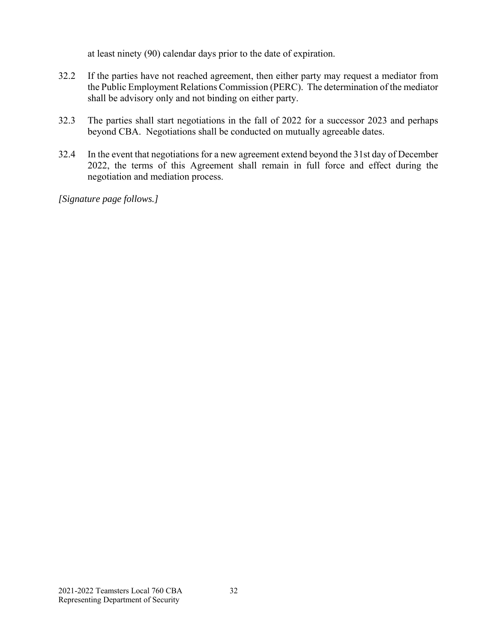at least ninety (90) calendar days prior to the date of expiration.

- 32.2 If the parties have not reached agreement, then either party may request a mediator from the Public Employment Relations Commission (PERC). The determination of the mediator shall be advisory only and not binding on either party.
- 32.3 The parties shall start negotiations in the fall of 2022 for a successor 2023 and perhaps beyond CBA. Negotiations shall be conducted on mutually agreeable dates.
- 32.4 In the event that negotiations for a new agreement extend beyond the 31st day of December 2022, the terms of this Agreement shall remain in full force and effect during the negotiation and mediation process.

*[Signature page follows.]*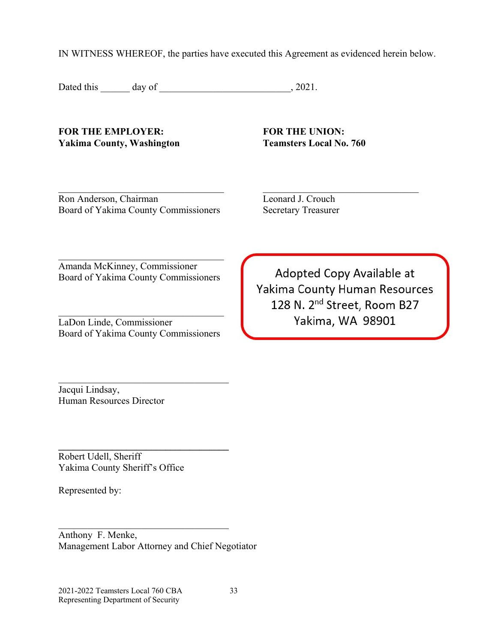IN WITNESS WHEREOF, the parties have executed this Agreement as evidenced herein below.

Dated this day of 3021.

FOR THE EMPLOYER: **FOR THE UNION:** Yakima County, Washington Teamsters Local No. 760

Ron Anderson, Chairman Leonard J. Crouch Board of Yakima County Commissioners Secretary Treasurer

Amanda McKinney, Commissioner Board of Yakima County Commissioners

LaDon Linde, Commissioner Board of Yakima County Commissioners

 $\mathcal{L}_\text{max}$  and  $\mathcal{L}_\text{max}$  and  $\mathcal{L}_\text{max}$  and  $\mathcal{L}_\text{max}$ 

**\_\_\_\_\_\_\_\_\_\_\_\_\_\_\_\_\_\_\_\_\_\_\_\_\_\_\_\_\_\_\_\_\_\_\_** 

Adopted Copy Available at Yakima County Human Resources 128 N. 2<sup>nd</sup> Street, Room B27 Yakima, WA 98901

Jacqui Lindsay, Human Resources Director

Robert Udell, Sheriff Yakima County Sheriff's Office

Represented by:

Anthony F. Menke, Management Labor Attorney and Chief Negotiator

2021-2022 Teamsters Local 760 CBA 33 Representing Department of Security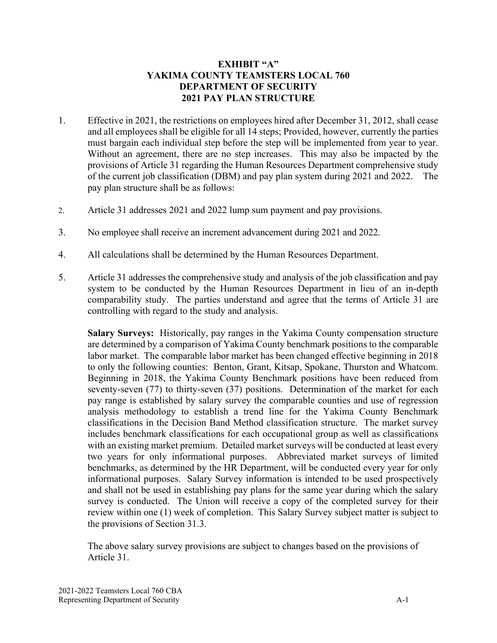#### **EXHIBIT "A" YAKIMA COUNTY TEAMSTERS LOCAL 760 DEPARTMENT OF SECURITY 2021 PAY PLAN STRUCTURE**

- 1. Effective in 2021, the restrictions on employees hired after December 31, 2012, shall cease and all employees shall be eligible for all 14 steps; Provided, however, currently the parties must bargain each individual step before the step will be implemented from year to year. Without an agreement, there are no step increases. This may also be impacted by the provisions of Article 31 regarding the Human Resources Department comprehensive study of the current job classification (DBM) and pay plan system during 2021 and 2022. The pay plan structure shall be as follows:
- 2. Article 31 addresses 2021 and 2022 lump sum payment and pay provisions.
- 3. No employee shall receive an increment advancement during 2021 and 2022.
- 4. All calculations shall be determined by the Human Resources Department.
- 5. Article 31 addresses the comprehensive study and analysis of the job classification and pay system to be conducted by the Human Resources Department in lieu of an in-depth comparability study. The parties understand and agree that the terms of Article 31 are controlling with regard to the study and analysis.

**Salary Surveys:** Historically, pay ranges in the Yakima County compensation structure are determined by a comparison of Yakima County benchmark positions to the comparable labor market. The comparable labor market has been changed effective beginning in 2018 to only the following counties: Benton, Grant, Kitsap, Spokane, Thurston and Whatcom. Beginning in 2018, the Yakima County Benchmark positions have been reduced from seventy-seven (77) to thirty-seven (37) positions. Determination of the market for each pay range is established by salary survey the comparable counties and use of regression analysis methodology to establish a trend line for the Yakima County Benchmark classifications in the Decision Band Method classification structure. The market survey includes benchmark classifications for each occupational group as well as classifications with an existing market premium. Detailed market surveys will be conducted at least every two years for only informational purposes. Abbreviated market surveys of limited benchmarks, as determined by the HR Department, will be conducted every year for only informational purposes. Salary Survey information is intended to be used prospectively and shall not be used in establishing pay plans for the same year during which the salary survey is conducted. The Union will receive a copy of the completed survey for their review within one (1) week of completion. This Salary Survey subject matter is subject to the provisions of Section 31.3.

The above salary survey provisions are subject to changes based on the provisions of Article 31.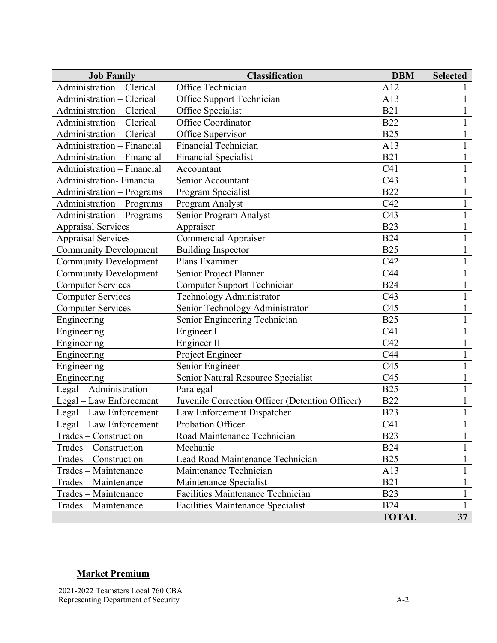| <b>Job Family</b>            | <b>Classification</b>                           | <b>DBM</b>      | <b>Selected</b> |
|------------------------------|-------------------------------------------------|-----------------|-----------------|
| Administration - Clerical    | Office Technician                               | A12             |                 |
| Administration - Clerical    | Office Support Technician                       | A13             |                 |
| Administration - Clerical    | Office Specialist                               | <b>B21</b>      |                 |
| Administration - Clerical    | Office Coordinator                              | <b>B22</b>      |                 |
| Administration - Clerical    | Office Supervisor                               | <b>B25</b>      |                 |
| Administration - Financial   | <b>Financial Technician</b>                     | A13             |                 |
| Administration - Financial   | <b>Financial Specialist</b>                     | <b>B21</b>      |                 |
| Administration - Financial   | Accountant                                      | C <sub>41</sub> |                 |
| Administration-Financial     | Senior Accountant                               | C43             |                 |
| Administration - Programs    | Program Specialist                              | <b>B22</b>      |                 |
| Administration - Programs    | Program Analyst                                 | C42             |                 |
| Administration - Programs    | Senior Program Analyst                          | C43             |                 |
| <b>Appraisal Services</b>    | Appraiser                                       | <b>B23</b>      |                 |
| <b>Appraisal Services</b>    | <b>Commercial Appraiser</b>                     | <b>B24</b>      |                 |
| <b>Community Development</b> | <b>Building Inspector</b>                       | <b>B25</b>      |                 |
| <b>Community Development</b> | Plans Examiner                                  | C42             |                 |
| <b>Community Development</b> | Senior Project Planner                          | C44             |                 |
| <b>Computer Services</b>     | Computer Support Technician                     | <b>B24</b>      |                 |
| <b>Computer Services</b>     | Technology Administrator                        | C43             |                 |
| <b>Computer Services</b>     | Senior Technology Administrator                 | C45             |                 |
| Engineering                  | Senior Engineering Technician                   | <b>B25</b>      |                 |
| Engineering                  | Engineer I                                      | C41             |                 |
| Engineering                  | Engineer II                                     | C42             |                 |
| Engineering                  | Project Engineer                                | C44             |                 |
| Engineering                  | Senior Engineer                                 | C45             |                 |
| Engineering                  | Senior Natural Resource Specialist              | C45             |                 |
| Legal - Administration       | Paralegal                                       | <b>B25</b>      |                 |
| Legal - Law Enforcement      | Juvenile Correction Officer (Detention Officer) | <b>B22</b>      |                 |
| Legal - Law Enforcement      | Law Enforcement Dispatcher                      | <b>B23</b>      |                 |
| Legal - Law Enforcement      | Probation Officer                               | C41             |                 |
| Trades – Construction        | Road Maintenance Technician                     | <b>B23</b>      |                 |
| Trades - Construction        | Mechanic                                        | <b>B24</b>      |                 |
| Trades – Construction        | Lead Road Maintenance Technician                | <b>B25</b>      | 1               |
| Trades - Maintenance         | Maintenance Technician                          | A13             |                 |
| Trades - Maintenance         | Maintenance Specialist                          | <b>B21</b>      | 1               |
| Trades – Maintenance         | <b>Facilities Maintenance Technician</b>        | <b>B23</b>      |                 |
| Trades - Maintenance         | <b>Facilities Maintenance Specialist</b>        | <b>B24</b>      | 1               |
|                              |                                                 | <b>TOTAL</b>    | 37              |

# **Market Premium**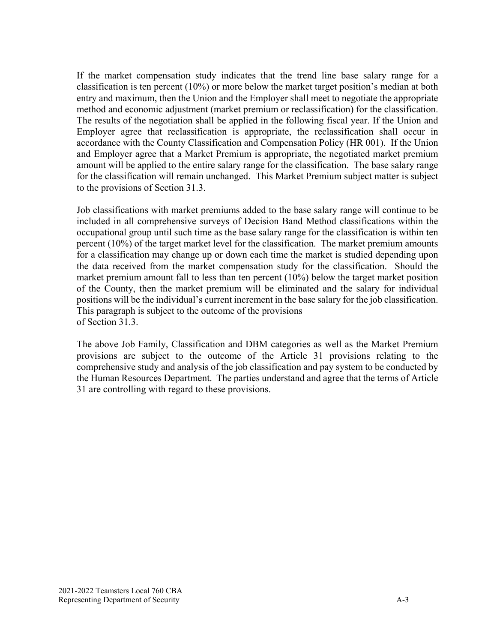If the market compensation study indicates that the trend line base salary range for a classification is ten percent (10%) or more below the market target position's median at both entry and maximum, then the Union and the Employer shall meet to negotiate the appropriate method and economic adjustment (market premium or reclassification) for the classification. The results of the negotiation shall be applied in the following fiscal year. If the Union and Employer agree that reclassification is appropriate, the reclassification shall occur in accordance with the County Classification and Compensation Policy (HR 001). If the Union and Employer agree that a Market Premium is appropriate, the negotiated market premium amount will be applied to the entire salary range for the classification. The base salary range for the classification will remain unchanged. This Market Premium subject matter is subject to the provisions of Section 31.3.

Job classifications with market premiums added to the base salary range will continue to be included in all comprehensive surveys of Decision Band Method classifications within the occupational group until such time as the base salary range for the classification is within ten percent (10%) of the target market level for the classification. The market premium amounts for a classification may change up or down each time the market is studied depending upon the data received from the market compensation study for the classification. Should the market premium amount fall to less than ten percent (10%) below the target market position of the County, then the market premium will be eliminated and the salary for individual positions will be the individual's current increment in the base salary for the job classification. This paragraph is subject to the outcome of the provisions of Section 31.3.

The above Job Family, Classification and DBM categories as well as the Market Premium provisions are subject to the outcome of the Article 31 provisions relating to the comprehensive study and analysis of the job classification and pay system to be conducted by the Human Resources Department. The parties understand and agree that the terms of Article 31 are controlling with regard to these provisions.